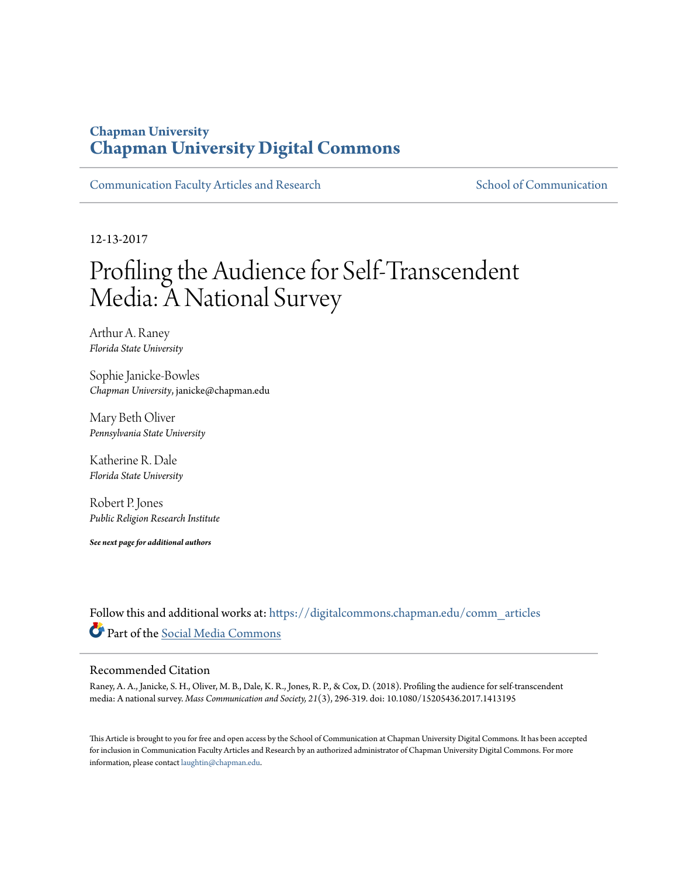## **Chapman University [Chapman University Digital Commons](https://digitalcommons.chapman.edu?utm_source=digitalcommons.chapman.edu%2Fcomm_articles%2F58&utm_medium=PDF&utm_campaign=PDFCoverPages)**

[Communication Faculty Articles and Research](https://digitalcommons.chapman.edu/comm_articles?utm_source=digitalcommons.chapman.edu%2Fcomm_articles%2F58&utm_medium=PDF&utm_campaign=PDFCoverPages) [School of Communication](https://digitalcommons.chapman.edu/communication?utm_source=digitalcommons.chapman.edu%2Fcomm_articles%2F58&utm_medium=PDF&utm_campaign=PDFCoverPages)

12-13-2017

# Profiling the Audience for Self-Transcendent Media: A National Survey

Arthur A. Raney *Florida State University*

Sophie Janicke-Bowles *Chapman University*, janicke@chapman.edu

Mary Beth Oliver *Pennsylvania State University*

Katherine R. Dale *Florida State University*

Robert P. Jones *Public Religion Research Institute*

*See next page for additional authors*

Follow this and additional works at: [https://digitalcommons.chapman.edu/comm\\_articles](https://digitalcommons.chapman.edu/comm_articles?utm_source=digitalcommons.chapman.edu%2Fcomm_articles%2F58&utm_medium=PDF&utm_campaign=PDFCoverPages) Part of the [Social Media Commons](http://network.bepress.com/hgg/discipline/1249?utm_source=digitalcommons.chapman.edu%2Fcomm_articles%2F58&utm_medium=PDF&utm_campaign=PDFCoverPages)

#### Recommended Citation

Raney, A. A., Janicke, S. H., Oliver, M. B., Dale, K. R., Jones, R. P., & Cox, D. (2018). Profiling the audience for self-transcendent media: A national survey. *Mass Communication and Society, 21*(3), 296-319. doi: 10.1080/15205436.2017.1413195

This Article is brought to you for free and open access by the School of Communication at Chapman University Digital Commons. It has been accepted for inclusion in Communication Faculty Articles and Research by an authorized administrator of Chapman University Digital Commons. For more information, please contact [laughtin@chapman.edu](mailto:laughtin@chapman.edu).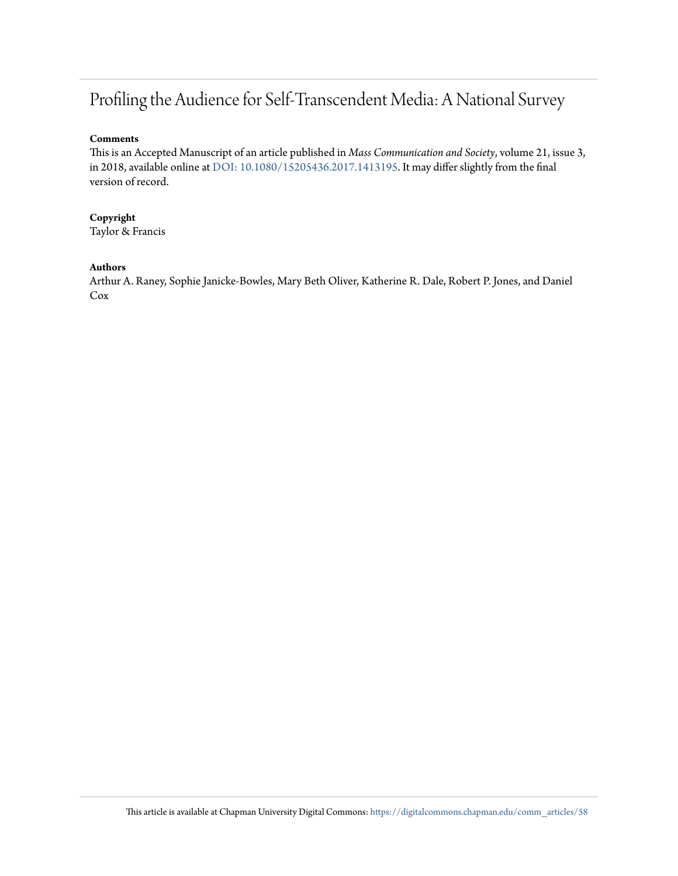# Profiling the Audience for Self-Transcendent Media: A National Survey

#### **Comments**

This is an Accepted Manuscript of an article published in *Mass Communication and Society*, volume 21, issue 3, in 2018, available online at [DOI: 10.1080/15205436.2017.1413195](https://doi.org/10.1080/15205436.2017.1413195). It may differ slightly from the final version of record.

#### **Copyright**

Taylor & Francis

#### **Authors**

Arthur A. Raney, Sophie Janicke-Bowles, Mary Beth Oliver, Katherine R. Dale, Robert P. Jones, and Daniel Cox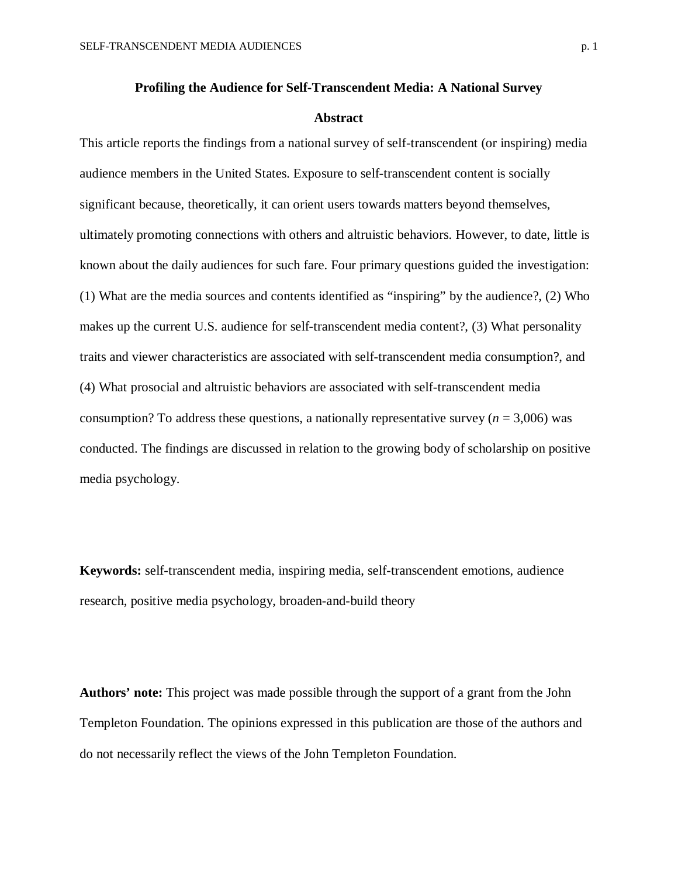#### **Abstract**

This article reports the findings from a national survey of self-transcendent (or inspiring) media audience members in the United States. Exposure to self-transcendent content is socially significant because, theoretically, it can orient users towards matters beyond themselves, ultimately promoting connections with others and altruistic behaviors. However, to date, little is known about the daily audiences for such fare. Four primary questions guided the investigation: (1) What are the media sources and contents identified as "inspiring" by the audience?, (2) Who makes up the current U.S. audience for self-transcendent media content?, (3) What personality traits and viewer characteristics are associated with self-transcendent media consumption?, and (4) What prosocial and altruistic behaviors are associated with self-transcendent media consumption? To address these questions, a nationally representative survey  $(n = 3,006)$  was conducted. The findings are discussed in relation to the growing body of scholarship on positive media psychology.

**Keywords:** self-transcendent media, inspiring media, self-transcendent emotions, audience research, positive media psychology, broaden-and-build theory

**Authors' note:** This project was made possible through the support of a grant from the John Templeton Foundation. The opinions expressed in this publication are those of the authors and do not necessarily reflect the views of the John Templeton Foundation.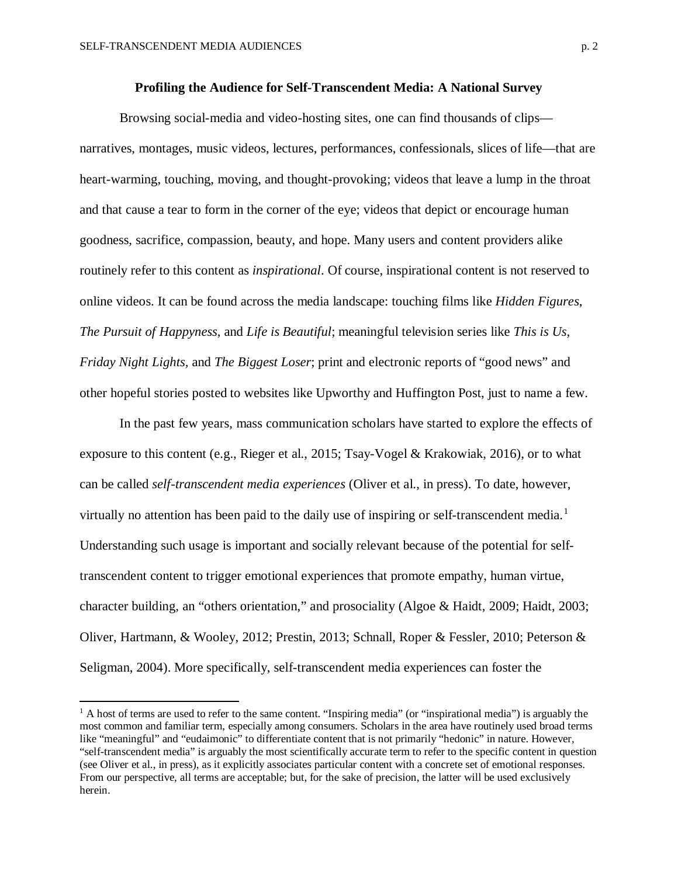$\overline{\phantom{a}}$ 

Browsing social-media and video-hosting sites, one can find thousands of clips narratives, montages, music videos, lectures, performances, confessionals, slices of life—that are heart-warming, touching, moving, and thought-provoking; videos that leave a lump in the throat and that cause a tear to form in the corner of the eye; videos that depict or encourage human goodness, sacrifice, compassion, beauty, and hope. Many users and content providers alike routinely refer to this content as *inspirational*. Of course, inspirational content is not reserved to online videos. It can be found across the media landscape: touching films like *Hidden Figures*, *The Pursuit of Happyness*, and *Life is Beautiful*; meaningful television series like *This is Us*, *Friday Night Lights,* and *The Biggest Loser*; print and electronic reports of "good news" and other hopeful stories posted to websites like Upworthy and Huffington Post, just to name a few.

In the past few years, mass communication scholars have started to explore the effects of exposure to this content (e.g., Rieger et al., 2015; Tsay-Vogel & Krakowiak, 2016), or to what can be called *self-transcendent media experiences* (Oliver et al., in press). To date, however, virtually no attention has been paid to the daily use of inspiring or self-transcendent media.<sup>[1](#page-3-0)</sup> Understanding such usage is important and socially relevant because of the potential for selftranscendent content to trigger emotional experiences that promote empathy, human virtue, character building, an "others orientation," and prosociality (Algoe & Haidt, 2009; Haidt, 2003; Oliver, Hartmann, & Wooley, 2012; Prestin, 2013; Schnall, Roper & Fessler, 2010; Peterson & Seligman, 2004). More specifically, self-transcendent media experiences can foster the

<span id="page-3-0"></span> $<sup>1</sup>$  A host of terms are used to refer to the same content. "Inspiring media" (or "inspirational media") is arguably the</sup> most common and familiar term, especially among consumers. Scholars in the area have routinely used broad terms like "meaningful" and "eudaimonic" to differentiate content that is not primarily "hedonic" in nature. However, "self-transcendent media" is arguably the most scientifically accurate term to refer to the specific content in question (see Oliver et al., in press), as it explicitly associates particular content with a concrete set of emotional responses. From our perspective, all terms are acceptable; but, for the sake of precision, the latter will be used exclusively herein.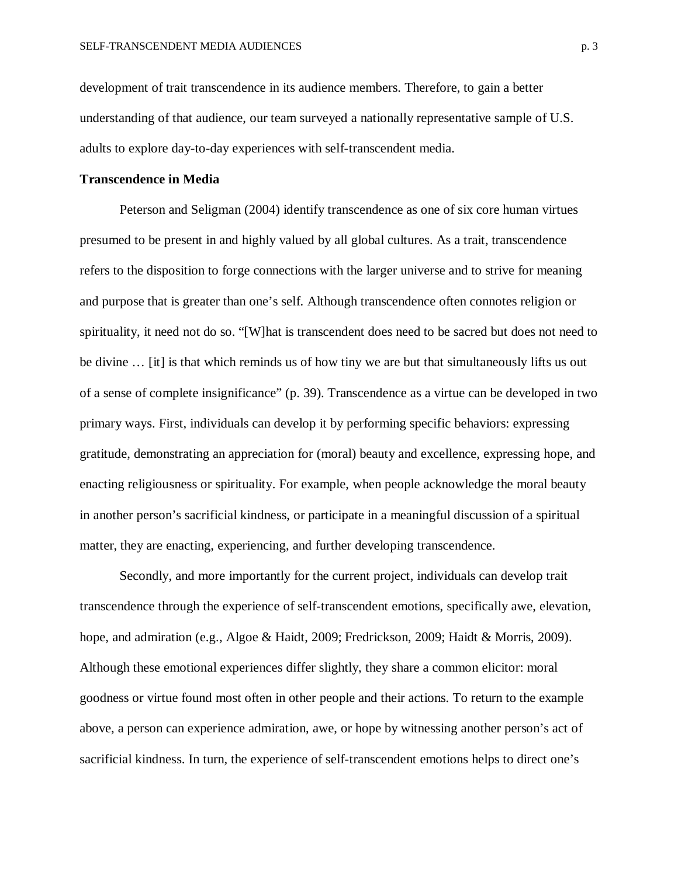development of trait transcendence in its audience members. Therefore, to gain a better understanding of that audience, our team surveyed a nationally representative sample of U.S. adults to explore day-to-day experiences with self-transcendent media.

#### **Transcendence in Media**

Peterson and Seligman (2004) identify transcendence as one of six core human virtues presumed to be present in and highly valued by all global cultures. As a trait, transcendence refers to the disposition to forge connections with the larger universe and to strive for meaning and purpose that is greater than one's self. Although transcendence often connotes religion or spirituality, it need not do so. "[W]hat is transcendent does need to be sacred but does not need to be divine ... [it] is that which reminds us of how tiny we are but that simultaneously lifts us out of a sense of complete insignificance" (p. 39). Transcendence as a virtue can be developed in two primary ways. First, individuals can develop it by performing specific behaviors: expressing gratitude, demonstrating an appreciation for (moral) beauty and excellence, expressing hope, and enacting religiousness or spirituality. For example, when people acknowledge the moral beauty in another person's sacrificial kindness, or participate in a meaningful discussion of a spiritual matter, they are enacting, experiencing, and further developing transcendence.

Secondly, and more importantly for the current project, individuals can develop trait transcendence through the experience of self-transcendent emotions, specifically awe, elevation, hope, and admiration (e.g., Algoe & Haidt, 2009; Fredrickson, 2009; Haidt & Morris, 2009). Although these emotional experiences differ slightly, they share a common elicitor: moral goodness or virtue found most often in other people and their actions. To return to the example above, a person can experience admiration, awe, or hope by witnessing another person's act of sacrificial kindness. In turn, the experience of self-transcendent emotions helps to direct one's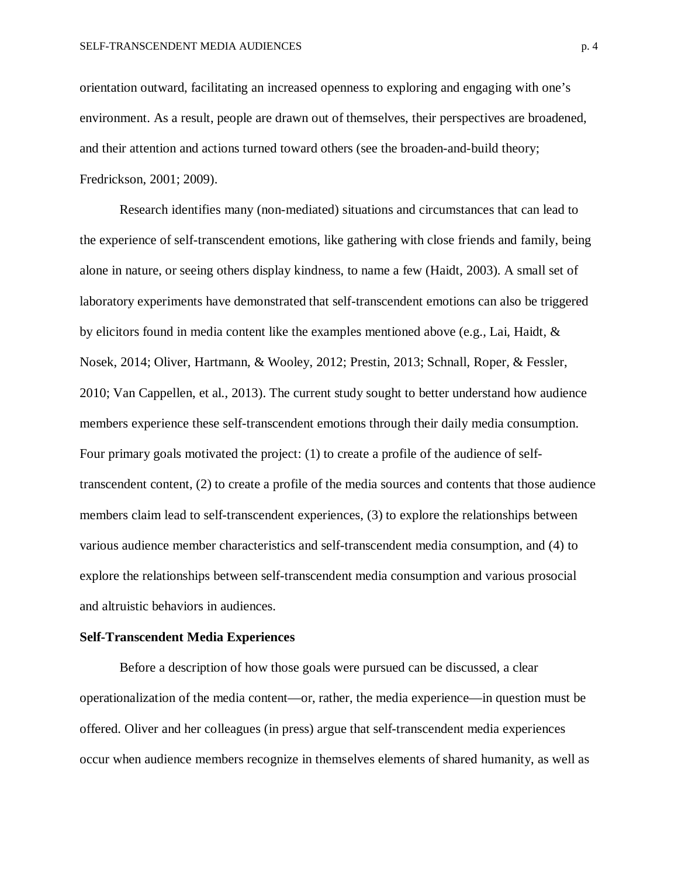orientation outward, facilitating an increased openness to exploring and engaging with one's environment. As a result, people are drawn out of themselves, their perspectives are broadened, and their attention and actions turned toward others (see the broaden-and-build theory; Fredrickson, 2001; 2009).

Research identifies many (non-mediated) situations and circumstances that can lead to the experience of self-transcendent emotions, like gathering with close friends and family, being alone in nature, or seeing others display kindness, to name a few (Haidt, 2003). A small set of laboratory experiments have demonstrated that self-transcendent emotions can also be triggered by elicitors found in media content like the examples mentioned above (e.g., Lai, Haidt, & Nosek, 2014; Oliver, Hartmann, & Wooley, 2012; Prestin, 2013; Schnall, Roper, & Fessler, 2010; Van Cappellen, et al., 2013). The current study sought to better understand how audience members experience these self-transcendent emotions through their daily media consumption. Four primary goals motivated the project: (1) to create a profile of the audience of selftranscendent content, (2) to create a profile of the media sources and contents that those audience members claim lead to self-transcendent experiences, (3) to explore the relationships between various audience member characteristics and self-transcendent media consumption, and (4) to explore the relationships between self-transcendent media consumption and various prosocial and altruistic behaviors in audiences.

#### **Self-Transcendent Media Experiences**

Before a description of how those goals were pursued can be discussed, a clear operationalization of the media content—or, rather, the media experience—in question must be offered. Oliver and her colleagues (in press) argue that self-transcendent media experiences occur when audience members recognize in themselves elements of shared humanity, as well as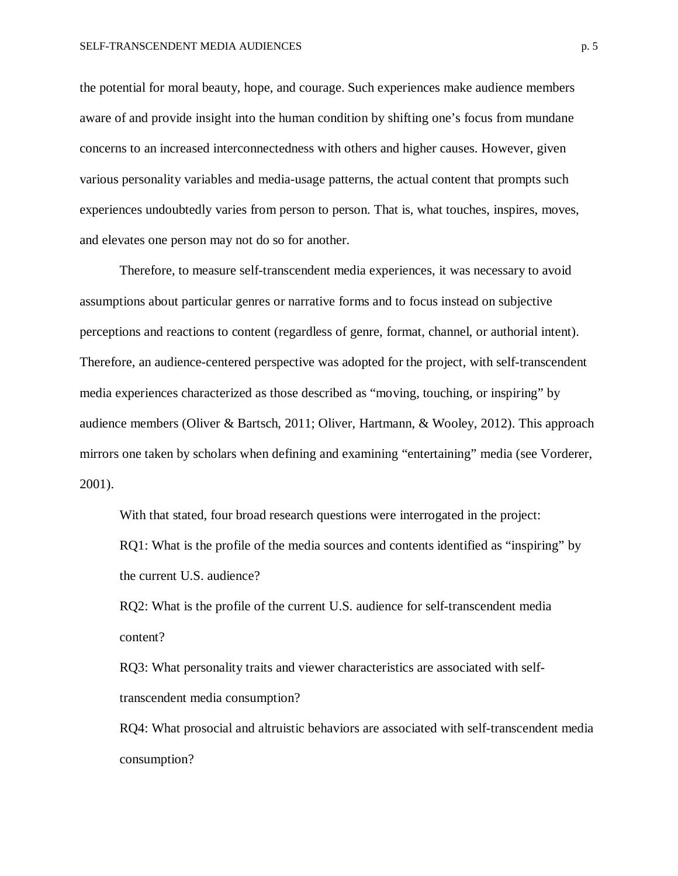the potential for moral beauty, hope, and courage. Such experiences make audience members aware of and provide insight into the human condition by shifting one's focus from mundane concerns to an increased interconnectedness with others and higher causes. However, given various personality variables and media-usage patterns, the actual content that prompts such experiences undoubtedly varies from person to person. That is, what touches, inspires, moves, and elevates one person may not do so for another.

Therefore, to measure self-transcendent media experiences, it was necessary to avoid assumptions about particular genres or narrative forms and to focus instead on subjective perceptions and reactions to content (regardless of genre, format, channel, or authorial intent). Therefore, an audience-centered perspective was adopted for the project, with self-transcendent media experiences characterized as those described as "moving, touching, or inspiring" by audience members (Oliver & Bartsch, 2011; Oliver, Hartmann, & Wooley, 2012). This approach mirrors one taken by scholars when defining and examining "entertaining" media (see Vorderer, 2001).

With that stated, four broad research questions were interrogated in the project: RQ1: What is the profile of the media sources and contents identified as "inspiring" by the current U.S. audience?

RQ2: What is the profile of the current U.S. audience for self-transcendent media content?

RQ3: What personality traits and viewer characteristics are associated with selftranscendent media consumption?

RQ4: What prosocial and altruistic behaviors are associated with self-transcendent media consumption?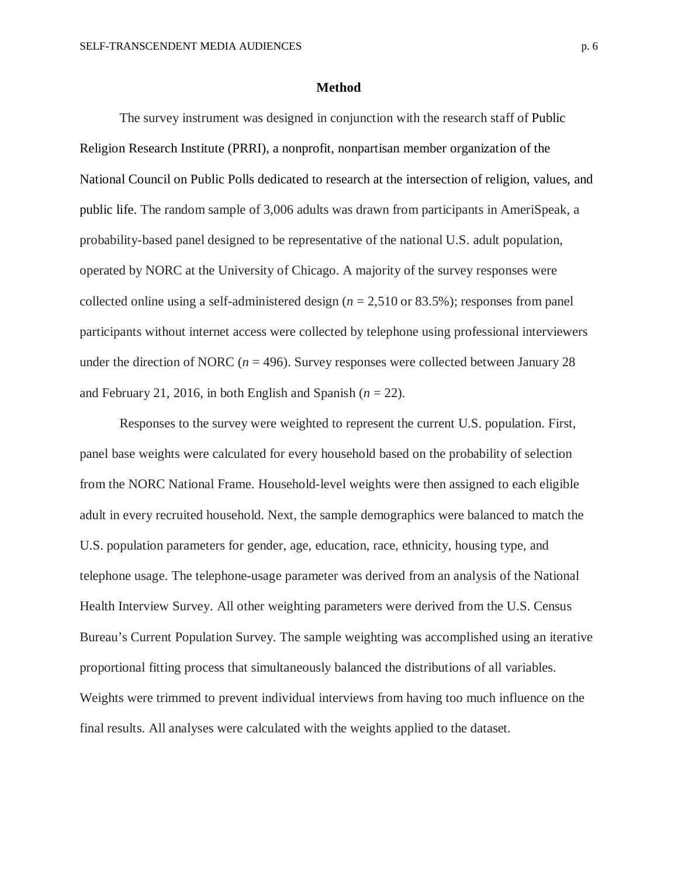#### **Method**

The survey instrument was designed in conjunction with the research staff of Public Religion Research Institute (PRRI), a nonprofit, nonpartisan member organization of the National Council on Public Polls dedicated to research at the intersection of religion, values, and public life. The random sample of 3,006 adults was drawn from participants in AmeriSpeak, a probability-based panel designed to be representative of the national U.S. adult population, operated by NORC at the University of Chicago. A majority of the survey responses were collected online using a self-administered design (*n* = 2,510 or 83.5%); responses from panel participants without internet access were collected by telephone using professional interviewers under the direction of NORC ( $n = 496$ ). Survey responses were collected between January 28 and February 21, 2016, in both English and Spanish  $(n = 22)$ .

Responses to the survey were weighted to represent the current U.S. population. First, panel base weights were calculated for every household based on the probability of selection from the NORC National Frame. Household-level weights were then assigned to each eligible adult in every recruited household. Next, the sample demographics were balanced to match the U.S. population parameters for gender, age, education, race, ethnicity, housing type, and telephone usage. The telephone-usage parameter was derived from an analysis of the National Health Interview Survey. All other weighting parameters were derived from the U.S. Census Bureau's Current Population Survey. The sample weighting was accomplished using an iterative proportional fitting process that simultaneously balanced the distributions of all variables. Weights were trimmed to prevent individual interviews from having too much influence on the final results. All analyses were calculated with the weights applied to the dataset.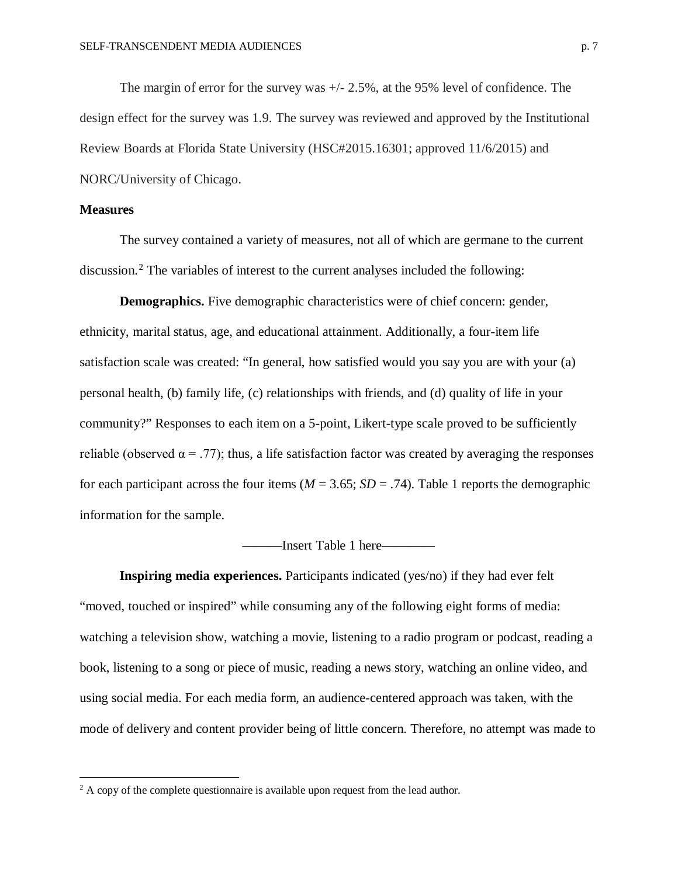The margin of error for the survey was +/- 2.5%, at the 95% level of confidence. The design effect for the survey was 1.9. The survey was reviewed and approved by the Institutional Review Boards at Florida State University (HSC#2015.16301; approved 11/6/2015) and NORC/University of Chicago.

#### **Measures**

 $\overline{\phantom{a}}$ 

The survey contained a variety of measures, not all of which are germane to the current discussion.<sup>[2](#page-8-0)</sup> The variables of interest to the current analyses included the following:

**Demographics.** Five demographic characteristics were of chief concern: gender, ethnicity, marital status, age, and educational attainment. Additionally, a four-item life satisfaction scale was created: "In general, how satisfied would you say you are with your (a) personal health, (b) family life, (c) relationships with friends, and (d) quality of life in your community?" Responses to each item on a 5-point, Likert-type scale proved to be sufficiently reliable (observed  $\alpha = .77$ ); thus, a life satisfaction factor was created by averaging the responses for each participant across the four items ( $M = 3.65$ ;  $SD = .74$ ). Table 1 reports the demographic information for the sample.

———Insert Table 1 here————

**Inspiring media experiences.** Participants indicated (yes/no) if they had ever felt "moved, touched or inspired" while consuming any of the following eight forms of media: watching a television show, watching a movie, listening to a radio program or podcast, reading a book, listening to a song or piece of music, reading a news story, watching an online video, and using social media. For each media form, an audience-centered approach was taken, with the mode of delivery and content provider being of little concern. Therefore, no attempt was made to

<span id="page-8-0"></span> $2 A$  copy of the complete questionnaire is available upon request from the lead author.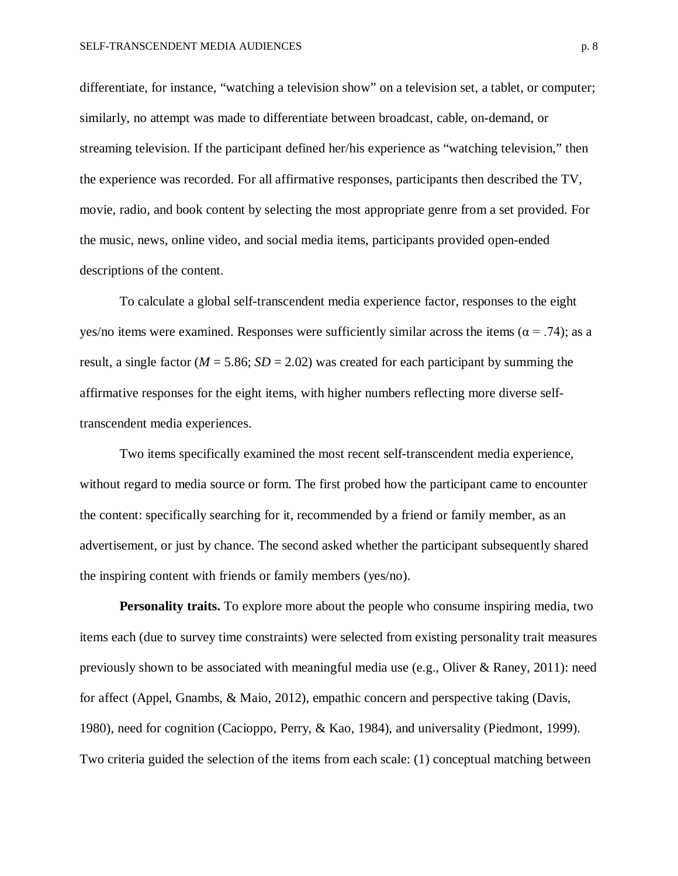differentiate, for instance, "watching a television show" on a television set, a tablet, or computer; similarly, no attempt was made to differentiate between broadcast, cable, on-demand, or streaming television. If the participant defined her/his experience as "watching television," then the experience was recorded. For all affirmative responses, participants then described the TV, movie, radio, and book content by selecting the most appropriate genre from a set provided. For the music, news, online video, and social media items, participants provided open-ended descriptions of the content.

To calculate a global self-transcendent media experience factor, responses to the eight yes/no items were examined. Responses were sufficiently similar across the items ( $\alpha$  = .74); as a result, a single factor ( $M = 5.86$ ;  $SD = 2.02$ ) was created for each participant by summing the affirmative responses for the eight items, with higher numbers reflecting more diverse selftranscendent media experiences.

Two items specifically examined the most recent self-transcendent media experience, without regard to media source or form. The first probed how the participant came to encounter the content: specifically searching for it, recommended by a friend or family member, as an advertisement, or just by chance. The second asked whether the participant subsequently shared the inspiring content with friends or family members (yes/no).

**Personality traits.** To explore more about the people who consume inspiring media, two items each (due to survey time constraints) were selected from existing personality trait measures previously shown to be associated with meaningful media use (e.g., Oliver & Raney, 2011): need for affect (Appel, Gnambs, & Maio, 2012), empathic concern and perspective taking (Davis, 1980), need for cognition (Cacioppo, Perry, & Kao, 1984), and universality (Piedmont, 1999). Two criteria guided the selection of the items from each scale: (1) conceptual matching between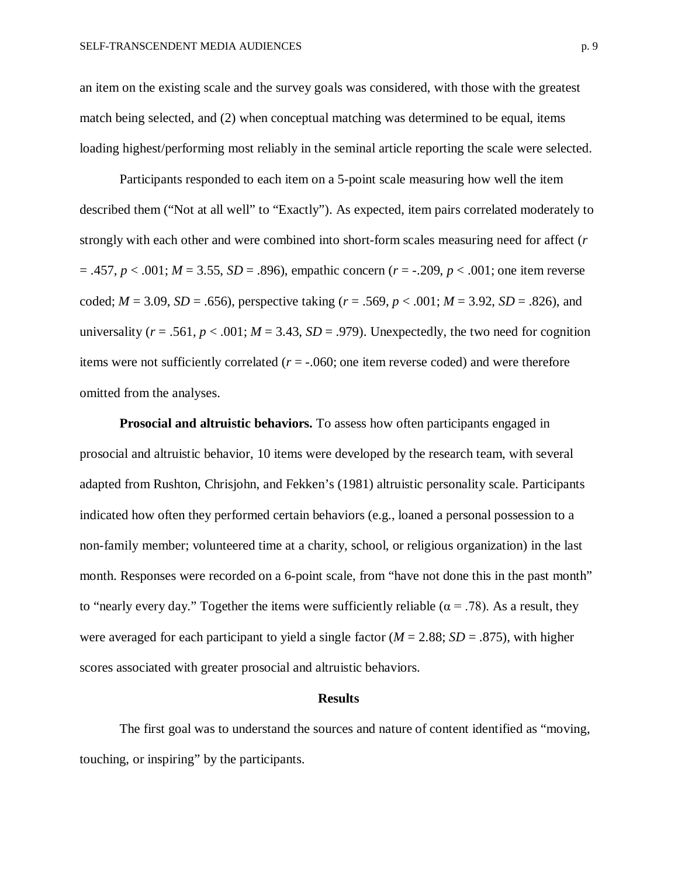an item on the existing scale and the survey goals was considered, with those with the greatest match being selected, and (2) when conceptual matching was determined to be equal, items loading highest/performing most reliably in the seminal article reporting the scale were selected.

Participants responded to each item on a 5-point scale measuring how well the item described them ("Not at all well" to "Exactly"). As expected, item pairs correlated moderately to strongly with each other and were combined into short-form scales measuring need for affect (*r*  $= .457, p < .001; M = 3.55, SD = .896$ , empathic concern ( $r = -.209, p < .001$ ; one item reverse coded;  $M = 3.09$ ,  $SD = .656$ ), perspective taking ( $r = .569$ ,  $p < .001$ ;  $M = 3.92$ ,  $SD = .826$ ), and universality ( $r = .561$ ,  $p < .001$ ;  $M = 3.43$ ,  $SD = .979$ ). Unexpectedly, the two need for cognition items were not sufficiently correlated  $(r = -.060)$ ; one item reverse coded) and were therefore omitted from the analyses.

**Prosocial and altruistic behaviors.** To assess how often participants engaged in prosocial and altruistic behavior, 10 items were developed by the research team, with several adapted from Rushton, Chrisjohn, and Fekken's (1981) altruistic personality scale. Participants indicated how often they performed certain behaviors (e.g., loaned a personal possession to a non-family member; volunteered time at a charity, school, or religious organization) in the last month. Responses were recorded on a 6-point scale, from "have not done this in the past month" to "nearly every day." Together the items were sufficiently reliable ( $\alpha = .78$ ). As a result, they were averaged for each participant to yield a single factor  $(M = 2.88; SD = .875)$ , with higher scores associated with greater prosocial and altruistic behaviors.

#### **Results**

The first goal was to understand the sources and nature of content identified as "moving, touching, or inspiring" by the participants.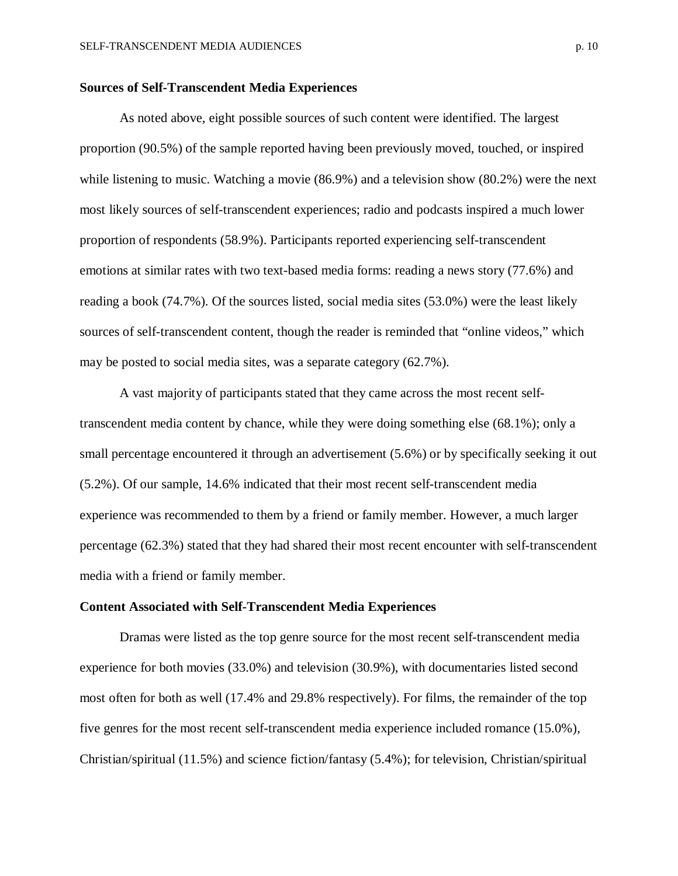#### **Sources of Self-Transcendent Media Experiences**

As noted above, eight possible sources of such content were identified. The largest proportion (90.5%) of the sample reported having been previously moved, touched, or inspired while listening to music. Watching a movie (86.9%) and a television show (80.2%) were the next most likely sources of self-transcendent experiences; radio and podcasts inspired a much lower proportion of respondents (58.9%). Participants reported experiencing self-transcendent emotions at similar rates with two text-based media forms: reading a news story (77.6%) and reading a book (74.7%). Of the sources listed, social media sites (53.0%) were the least likely sources of self-transcendent content, though the reader is reminded that "online videos," which may be posted to social media sites, was a separate category (62.7%).

A vast majority of participants stated that they came across the most recent selftranscendent media content by chance, while they were doing something else (68.1%); only a small percentage encountered it through an advertisement (5.6%) or by specifically seeking it out (5.2%). Of our sample, 14.6% indicated that their most recent self-transcendent media experience was recommended to them by a friend or family member. However, a much larger percentage (62.3%) stated that they had shared their most recent encounter with self-transcendent media with a friend or family member.

#### **Content Associated with Self-Transcendent Media Experiences**

Dramas were listed as the top genre source for the most recent self-transcendent media experience for both movies (33.0%) and television (30.9%), with documentaries listed second most often for both as well (17.4% and 29.8% respectively). For films, the remainder of the top five genres for the most recent self-transcendent media experience included romance (15.0%), Christian/spiritual (11.5%) and science fiction/fantasy (5.4%); for television, Christian/spiritual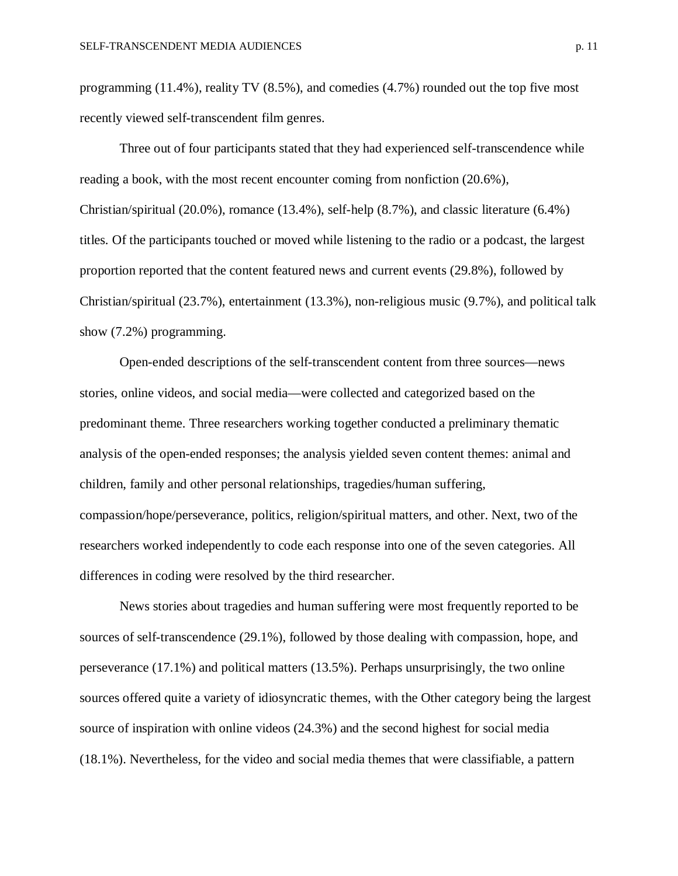programming (11.4%), reality TV (8.5%), and comedies (4.7%) rounded out the top five most recently viewed self-transcendent film genres.

Three out of four participants stated that they had experienced self-transcendence while reading a book, with the most recent encounter coming from nonfiction (20.6%), Christian/spiritual (20.0%), romance (13.4%), self-help (8.7%), and classic literature (6.4%) titles. Of the participants touched or moved while listening to the radio or a podcast, the largest proportion reported that the content featured news and current events (29.8%), followed by Christian/spiritual (23.7%), entertainment (13.3%), non-religious music (9.7%), and political talk show (7.2%) programming.

Open-ended descriptions of the self-transcendent content from three sources—news stories, online videos, and social media—were collected and categorized based on the predominant theme. Three researchers working together conducted a preliminary thematic analysis of the open-ended responses; the analysis yielded seven content themes: animal and children, family and other personal relationships, tragedies/human suffering, compassion/hope/perseverance, politics, religion/spiritual matters, and other. Next, two of the researchers worked independently to code each response into one of the seven categories. All differences in coding were resolved by the third researcher.

News stories about tragedies and human suffering were most frequently reported to be sources of self-transcendence (29.1%), followed by those dealing with compassion, hope, and perseverance (17.1%) and political matters (13.5%). Perhaps unsurprisingly, the two online sources offered quite a variety of idiosyncratic themes, with the Other category being the largest source of inspiration with online videos (24.3%) and the second highest for social media (18.1%). Nevertheless, for the video and social media themes that were classifiable, a pattern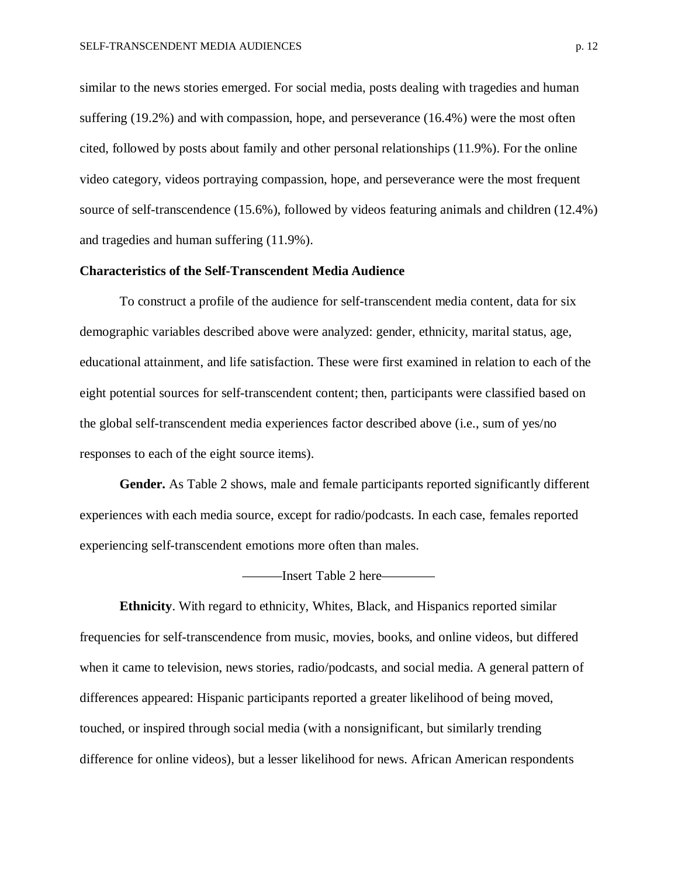similar to the news stories emerged. For social media, posts dealing with tragedies and human suffering (19.2%) and with compassion, hope, and perseverance (16.4%) were the most often cited, followed by posts about family and other personal relationships (11.9%). For the online video category, videos portraying compassion, hope, and perseverance were the most frequent source of self-transcendence (15.6%), followed by videos featuring animals and children (12.4%) and tragedies and human suffering (11.9%).

#### **Characteristics of the Self-Transcendent Media Audience**

To construct a profile of the audience for self-transcendent media content, data for six demographic variables described above were analyzed: gender, ethnicity, marital status, age, educational attainment, and life satisfaction. These were first examined in relation to each of the eight potential sources for self-transcendent content; then, participants were classified based on the global self-transcendent media experiences factor described above (i.e., sum of yes/no responses to each of the eight source items).

**Gender.** As Table 2 shows, male and female participants reported significantly different experiences with each media source, except for radio/podcasts. In each case, females reported experiencing self-transcendent emotions more often than males.

———Insert Table 2 here————

**Ethnicity**. With regard to ethnicity, Whites, Black, and Hispanics reported similar frequencies for self-transcendence from music, movies, books, and online videos, but differed when it came to television, news stories, radio/podcasts, and social media. A general pattern of differences appeared: Hispanic participants reported a greater likelihood of being moved, touched, or inspired through social media (with a nonsignificant, but similarly trending difference for online videos), but a lesser likelihood for news. African American respondents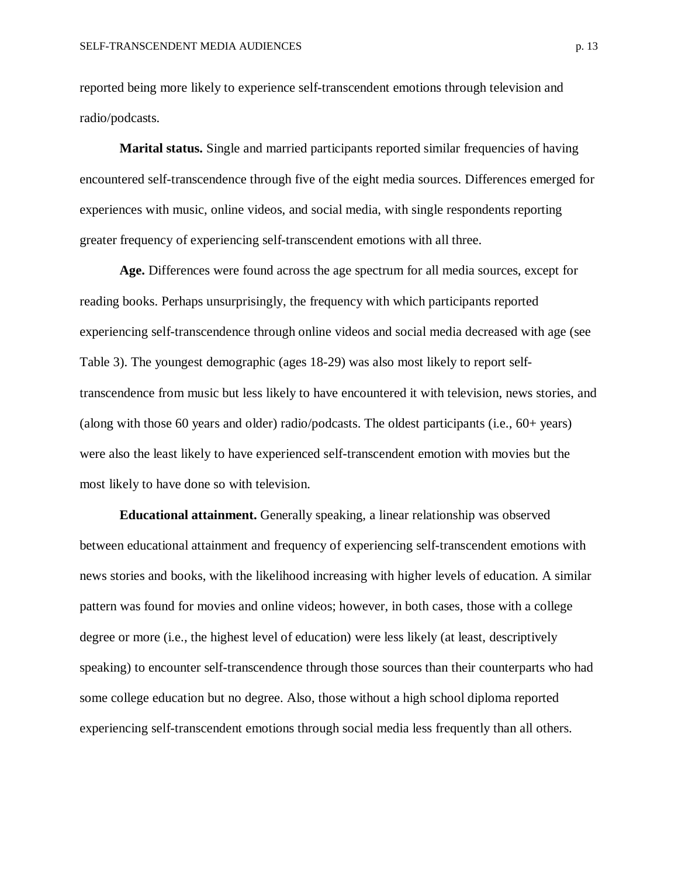reported being more likely to experience self-transcendent emotions through television and radio/podcasts.

**Marital status.** Single and married participants reported similar frequencies of having encountered self-transcendence through five of the eight media sources. Differences emerged for experiences with music, online videos, and social media, with single respondents reporting greater frequency of experiencing self-transcendent emotions with all three.

**Age.** Differences were found across the age spectrum for all media sources, except for reading books. Perhaps unsurprisingly, the frequency with which participants reported experiencing self-transcendence through online videos and social media decreased with age (see Table 3). The youngest demographic (ages 18-29) was also most likely to report selftranscendence from music but less likely to have encountered it with television, news stories, and (along with those 60 years and older) radio/podcasts. The oldest participants (i.e., 60+ years) were also the least likely to have experienced self-transcendent emotion with movies but the most likely to have done so with television.

**Educational attainment.** Generally speaking, a linear relationship was observed between educational attainment and frequency of experiencing self-transcendent emotions with news stories and books, with the likelihood increasing with higher levels of education. A similar pattern was found for movies and online videos; however, in both cases, those with a college degree or more (i.e., the highest level of education) were less likely (at least, descriptively speaking) to encounter self-transcendence through those sources than their counterparts who had some college education but no degree. Also, those without a high school diploma reported experiencing self-transcendent emotions through social media less frequently than all others.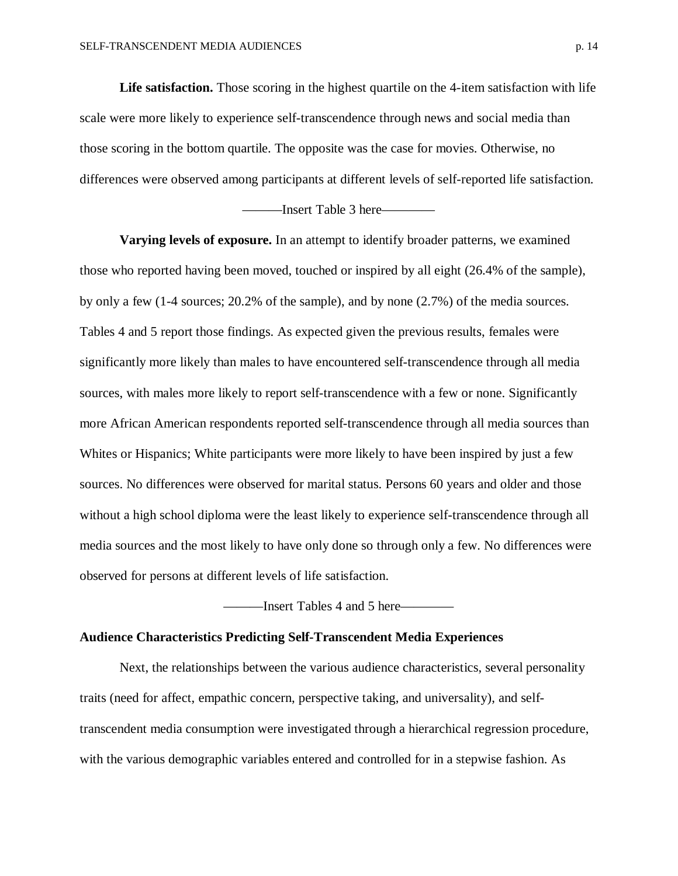**Life satisfaction.** Those scoring in the highest quartile on the 4-item satisfaction with life scale were more likely to experience self-transcendence through news and social media than those scoring in the bottom quartile. The opposite was the case for movies. Otherwise, no differences were observed among participants at different levels of self-reported life satisfaction.

———Insert Table 3 here————

**Varying levels of exposure.** In an attempt to identify broader patterns, we examined those who reported having been moved, touched or inspired by all eight (26.4% of the sample), by only a few (1-4 sources; 20.2% of the sample), and by none (2.7%) of the media sources. Tables 4 and 5 report those findings. As expected given the previous results, females were significantly more likely than males to have encountered self-transcendence through all media sources, with males more likely to report self-transcendence with a few or none. Significantly more African American respondents reported self-transcendence through all media sources than Whites or Hispanics; White participants were more likely to have been inspired by just a few sources. No differences were observed for marital status. Persons 60 years and older and those without a high school diploma were the least likely to experience self-transcendence through all media sources and the most likely to have only done so through only a few. No differences were observed for persons at different levels of life satisfaction.

———Insert Tables 4 and 5 here————

#### **Audience Characteristics Predicting Self-Transcendent Media Experiences**

Next, the relationships between the various audience characteristics, several personality traits (need for affect, empathic concern, perspective taking, and universality), and selftranscendent media consumption were investigated through a hierarchical regression procedure, with the various demographic variables entered and controlled for in a stepwise fashion. As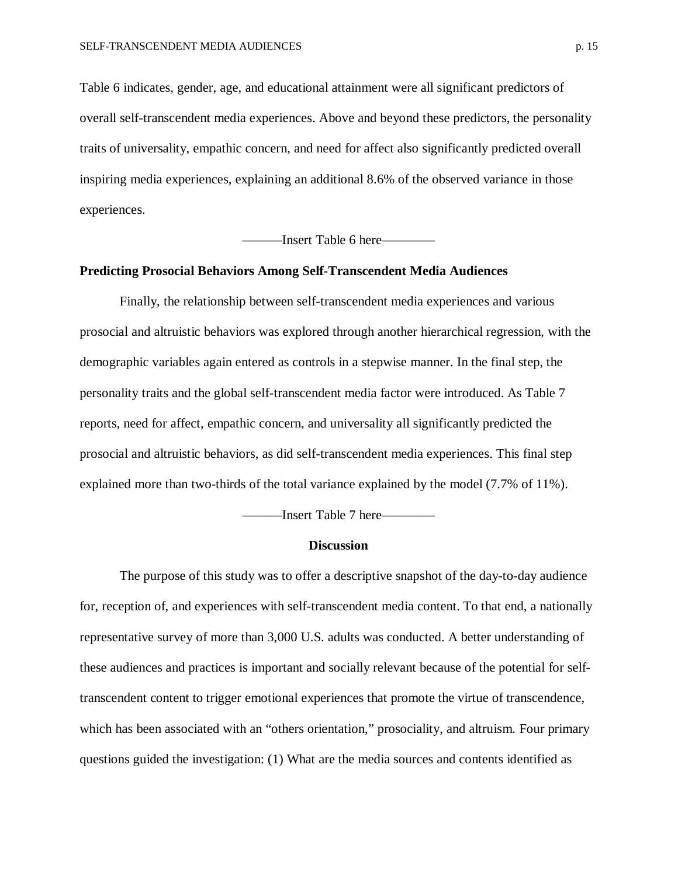Table 6 indicates, gender, age, and educational attainment were all significant predictors of overall self-transcendent media experiences. Above and beyond these predictors, the personality traits of universality, empathic concern, and need for affect also significantly predicted overall inspiring media experiences, explaining an additional 8.6% of the observed variance in those experiences.

———Insert Table 6 here————

#### **Predicting Prosocial Behaviors Among Self-Transcendent Media Audiences**

Finally, the relationship between self-transcendent media experiences and various prosocial and altruistic behaviors was explored through another hierarchical regression, with the demographic variables again entered as controls in a stepwise manner. In the final step, the personality traits and the global self-transcendent media factor were introduced. As Table 7 reports, need for affect, empathic concern, and universality all significantly predicted the prosocial and altruistic behaviors, as did self-transcendent media experiences. This final step explained more than two-thirds of the total variance explained by the model (7.7% of 11%).

———Insert Table 7 here————

#### **Discussion**

The purpose of this study was to offer a descriptive snapshot of the day-to-day audience for, reception of, and experiences with self-transcendent media content. To that end, a nationally representative survey of more than 3,000 U.S. adults was conducted. A better understanding of these audiences and practices is important and socially relevant because of the potential for selftranscendent content to trigger emotional experiences that promote the virtue of transcendence, which has been associated with an "others orientation," prosociality, and altruism. Four primary questions guided the investigation: (1) What are the media sources and contents identified as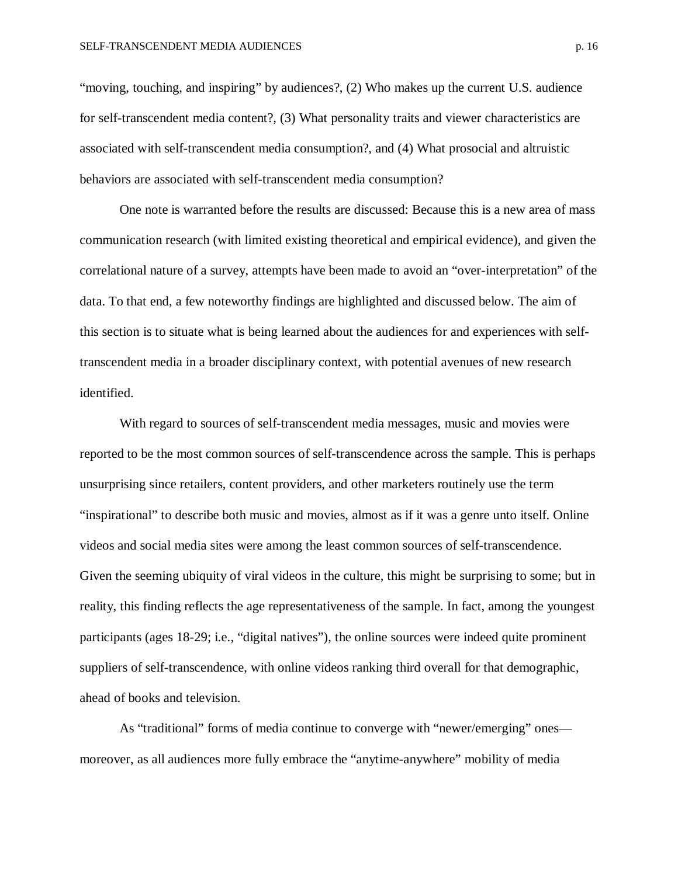"moving, touching, and inspiring" by audiences?, (2) Who makes up the current U.S. audience for self-transcendent media content?, (3) What personality traits and viewer characteristics are associated with self-transcendent media consumption?, and (4) What prosocial and altruistic behaviors are associated with self-transcendent media consumption?

One note is warranted before the results are discussed: Because this is a new area of mass communication research (with limited existing theoretical and empirical evidence), and given the correlational nature of a survey, attempts have been made to avoid an "over-interpretation" of the data. To that end, a few noteworthy findings are highlighted and discussed below. The aim of this section is to situate what is being learned about the audiences for and experiences with selftranscendent media in a broader disciplinary context, with potential avenues of new research identified.

With regard to sources of self-transcendent media messages, music and movies were reported to be the most common sources of self-transcendence across the sample. This is perhaps unsurprising since retailers, content providers, and other marketers routinely use the term "inspirational" to describe both music and movies, almost as if it was a genre unto itself. Online videos and social media sites were among the least common sources of self-transcendence. Given the seeming ubiquity of viral videos in the culture, this might be surprising to some; but in reality, this finding reflects the age representativeness of the sample. In fact, among the youngest participants (ages 18-29; i.e., "digital natives"), the online sources were indeed quite prominent suppliers of self-transcendence, with online videos ranking third overall for that demographic, ahead of books and television.

As "traditional" forms of media continue to converge with "newer/emerging" ones moreover, as all audiences more fully embrace the "anytime-anywhere" mobility of media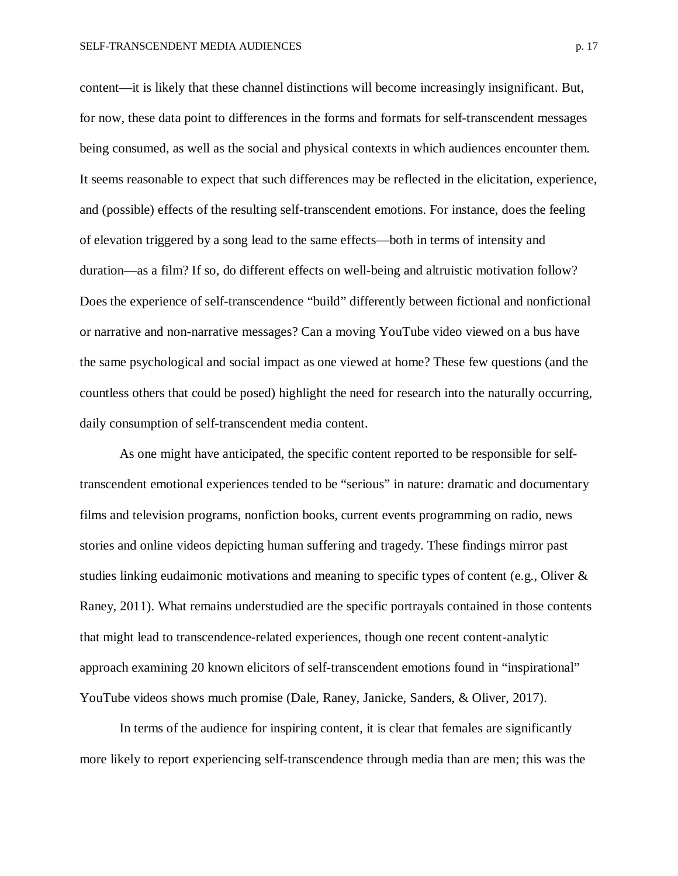content—it is likely that these channel distinctions will become increasingly insignificant. But, for now, these data point to differences in the forms and formats for self-transcendent messages being consumed, as well as the social and physical contexts in which audiences encounter them. It seems reasonable to expect that such differences may be reflected in the elicitation, experience, and (possible) effects of the resulting self-transcendent emotions. For instance, does the feeling of elevation triggered by a song lead to the same effects—both in terms of intensity and duration—as a film? If so, do different effects on well-being and altruistic motivation follow? Does the experience of self-transcendence "build" differently between fictional and nonfictional or narrative and non-narrative messages? Can a moving YouTube video viewed on a bus have the same psychological and social impact as one viewed at home? These few questions (and the countless others that could be posed) highlight the need for research into the naturally occurring, daily consumption of self-transcendent media content.

As one might have anticipated, the specific content reported to be responsible for selftranscendent emotional experiences tended to be "serious" in nature: dramatic and documentary films and television programs, nonfiction books, current events programming on radio, news stories and online videos depicting human suffering and tragedy. These findings mirror past studies linking eudaimonic motivations and meaning to specific types of content (e.g., Oliver  $\&$ Raney, 2011). What remains understudied are the specific portrayals contained in those contents that might lead to transcendence-related experiences, though one recent content-analytic approach examining 20 known elicitors of self-transcendent emotions found in "inspirational" YouTube videos shows much promise (Dale, Raney, Janicke, Sanders, & Oliver, 2017).

In terms of the audience for inspiring content, it is clear that females are significantly more likely to report experiencing self-transcendence through media than are men; this was the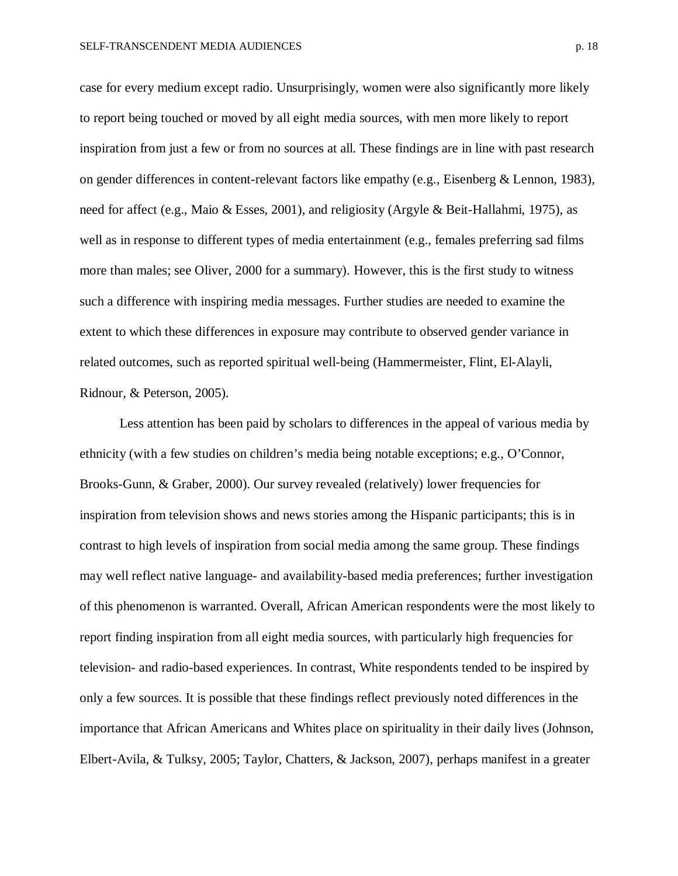case for every medium except radio. Unsurprisingly, women were also significantly more likely to report being touched or moved by all eight media sources, with men more likely to report inspiration from just a few or from no sources at all. These findings are in line with past research on gender differences in content-relevant factors like empathy (e.g., Eisenberg & Lennon, 1983), need for affect (e.g., Maio & Esses, 2001), and religiosity (Argyle & Beit-Hallahmi, 1975), as well as in response to different types of media entertainment (e.g., females preferring sad films more than males; see Oliver, 2000 for a summary). However, this is the first study to witness such a difference with inspiring media messages. Further studies are needed to examine the extent to which these differences in exposure may contribute to observed gender variance in related outcomes, such as reported spiritual well-being (Hammermeister, Flint, El-Alayli, Ridnour, & Peterson, 2005).

Less attention has been paid by scholars to differences in the appeal of various media by ethnicity (with a few studies on children's media being notable exceptions; e.g., O'Connor, Brooks-Gunn, & Graber, 2000). Our survey revealed (relatively) lower frequencies for inspiration from television shows and news stories among the Hispanic participants; this is in contrast to high levels of inspiration from social media among the same group. These findings may well reflect native language- and availability-based media preferences; further investigation of this phenomenon is warranted. Overall, African American respondents were the most likely to report finding inspiration from all eight media sources, with particularly high frequencies for television- and radio-based experiences. In contrast, White respondents tended to be inspired by only a few sources. It is possible that these findings reflect previously noted differences in the importance that African Americans and Whites place on spirituality in their daily lives (Johnson, Elbert-Avila, & Tulksy, 2005; Taylor, Chatters, & Jackson, 2007), perhaps manifest in a greater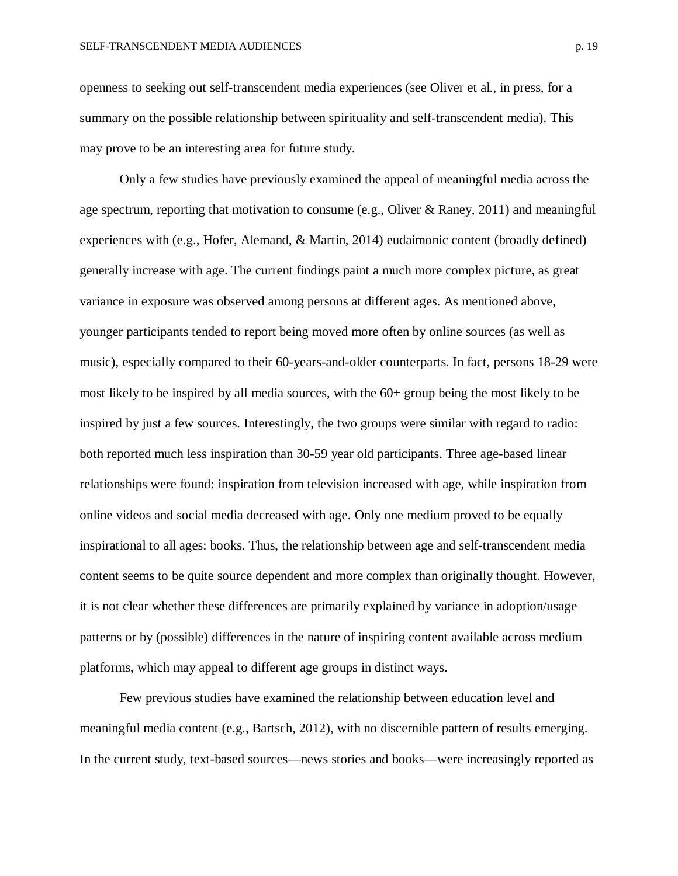openness to seeking out self-transcendent media experiences (see Oliver et al., in press, for a summary on the possible relationship between spirituality and self-transcendent media). This may prove to be an interesting area for future study.

Only a few studies have previously examined the appeal of meaningful media across the age spectrum, reporting that motivation to consume (e.g., Oliver & Raney, 2011) and meaningful experiences with (e.g., Hofer, Alemand, & Martin, 2014) eudaimonic content (broadly defined) generally increase with age. The current findings paint a much more complex picture, as great variance in exposure was observed among persons at different ages. As mentioned above, younger participants tended to report being moved more often by online sources (as well as music), especially compared to their 60-years-and-older counterparts. In fact, persons 18-29 were most likely to be inspired by all media sources, with the 60+ group being the most likely to be inspired by just a few sources. Interestingly, the two groups were similar with regard to radio: both reported much less inspiration than 30-59 year old participants. Three age-based linear relationships were found: inspiration from television increased with age, while inspiration from online videos and social media decreased with age. Only one medium proved to be equally inspirational to all ages: books. Thus, the relationship between age and self-transcendent media content seems to be quite source dependent and more complex than originally thought. However, it is not clear whether these differences are primarily explained by variance in adoption/usage patterns or by (possible) differences in the nature of inspiring content available across medium platforms, which may appeal to different age groups in distinct ways.

Few previous studies have examined the relationship between education level and meaningful media content (e.g., Bartsch, 2012), with no discernible pattern of results emerging. In the current study, text-based sources—news stories and books—were increasingly reported as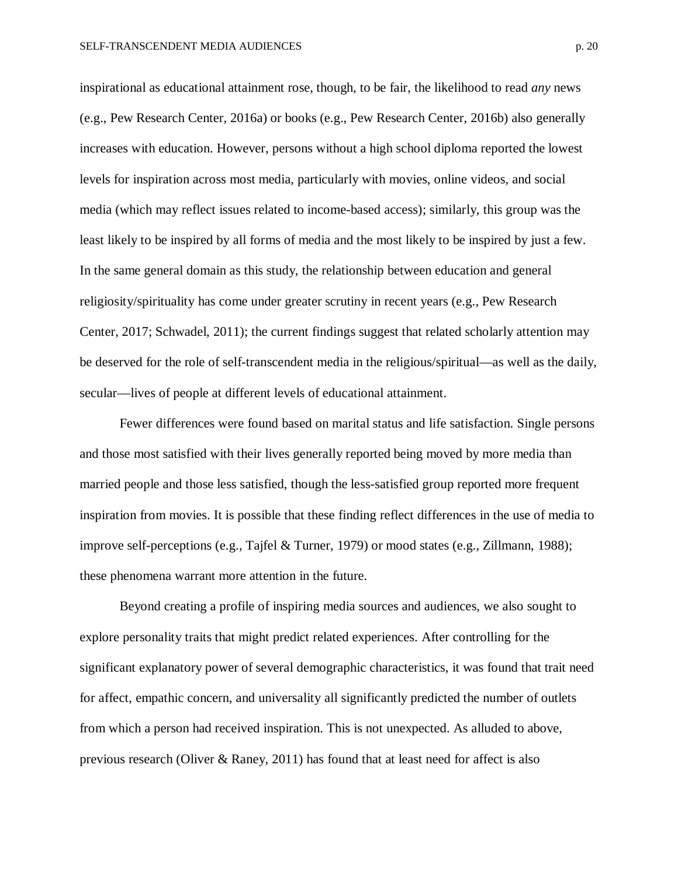inspirational as educational attainment rose, though, to be fair, the likelihood to read *any* news (e.g., Pew Research Center, 2016a) or books (e.g., Pew Research Center, 2016b) also generally increases with education. However, persons without a high school diploma reported the lowest levels for inspiration across most media, particularly with movies, online videos, and social media (which may reflect issues related to income-based access); similarly, this group was the least likely to be inspired by all forms of media and the most likely to be inspired by just a few. In the same general domain as this study, the relationship between education and general religiosity/spirituality has come under greater scrutiny in recent years (e.g., Pew Research Center, 2017; Schwadel, 2011); the current findings suggest that related scholarly attention may be deserved for the role of self-transcendent media in the religious/spiritual—as well as the daily, secular—lives of people at different levels of educational attainment.

Fewer differences were found based on marital status and life satisfaction. Single persons and those most satisfied with their lives generally reported being moved by more media than married people and those less satisfied, though the less-satisfied group reported more frequent inspiration from movies. It is possible that these finding reflect differences in the use of media to improve self-perceptions (e.g., Tajfel & Turner, 1979) or mood states (e.g., Zillmann, 1988); these phenomena warrant more attention in the future.

Beyond creating a profile of inspiring media sources and audiences, we also sought to explore personality traits that might predict related experiences. After controlling for the significant explanatory power of several demographic characteristics, it was found that trait need for affect, empathic concern, and universality all significantly predicted the number of outlets from which a person had received inspiration. This is not unexpected. As alluded to above, previous research (Oliver & Raney, 2011) has found that at least need for affect is also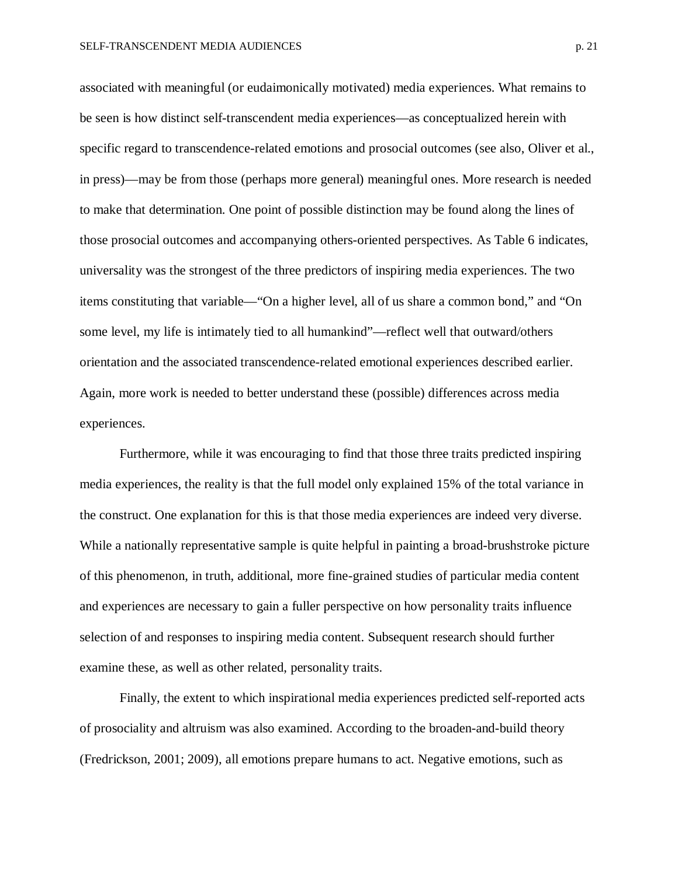associated with meaningful (or eudaimonically motivated) media experiences. What remains to be seen is how distinct self-transcendent media experiences—as conceptualized herein with specific regard to transcendence-related emotions and prosocial outcomes (see also, Oliver et al., in press)—may be from those (perhaps more general) meaningful ones. More research is needed to make that determination. One point of possible distinction may be found along the lines of those prosocial outcomes and accompanying others-oriented perspectives. As Table 6 indicates, universality was the strongest of the three predictors of inspiring media experiences. The two items constituting that variable—"On a higher level, all of us share a common bond," and "On some level, my life is intimately tied to all humankind"—reflect well that outward/others orientation and the associated transcendence-related emotional experiences described earlier. Again, more work is needed to better understand these (possible) differences across media experiences.

Furthermore, while it was encouraging to find that those three traits predicted inspiring media experiences, the reality is that the full model only explained 15% of the total variance in the construct. One explanation for this is that those media experiences are indeed very diverse. While a nationally representative sample is quite helpful in painting a broad-brushstroke picture of this phenomenon, in truth, additional, more fine-grained studies of particular media content and experiences are necessary to gain a fuller perspective on how personality traits influence selection of and responses to inspiring media content. Subsequent research should further examine these, as well as other related, personality traits.

Finally, the extent to which inspirational media experiences predicted self-reported acts of prosociality and altruism was also examined. According to the broaden-and-build theory (Fredrickson, 2001; 2009), all emotions prepare humans to act. Negative emotions, such as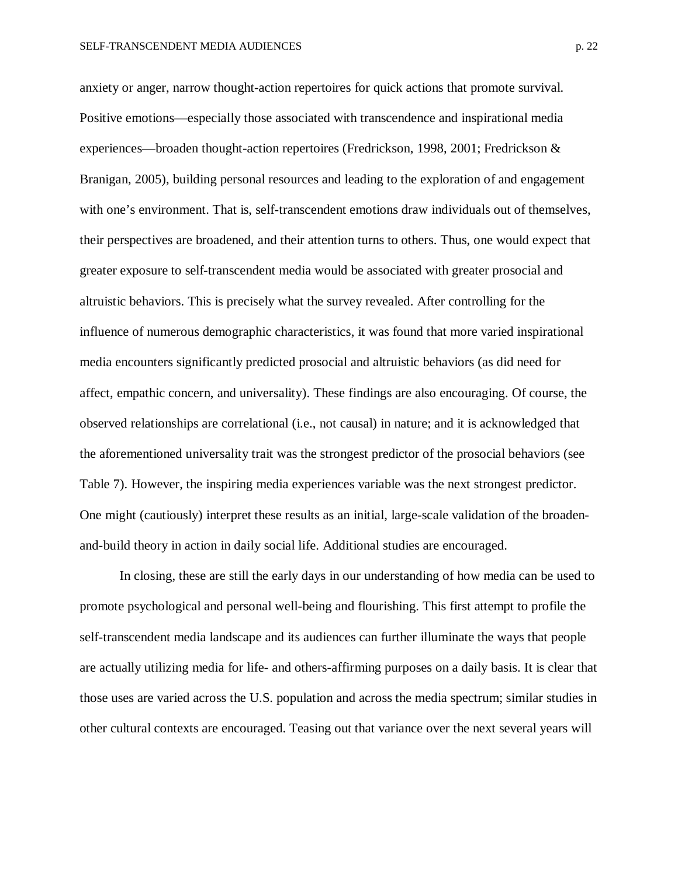anxiety or anger, narrow thought-action repertoires for quick actions that promote survival. Positive emotions—especially those associated with transcendence and inspirational media experiences—broaden thought-action repertoires (Fredrickson, 1998, 2001; Fredrickson & Branigan, 2005), building personal resources and leading to the exploration of and engagement with one's environment. That is, self-transcendent emotions draw individuals out of themselves, their perspectives are broadened, and their attention turns to others. Thus, one would expect that greater exposure to self-transcendent media would be associated with greater prosocial and altruistic behaviors. This is precisely what the survey revealed. After controlling for the influence of numerous demographic characteristics, it was found that more varied inspirational media encounters significantly predicted prosocial and altruistic behaviors (as did need for affect, empathic concern, and universality). These findings are also encouraging. Of course, the observed relationships are correlational (i.e., not causal) in nature; and it is acknowledged that the aforementioned universality trait was the strongest predictor of the prosocial behaviors (see Table 7). However, the inspiring media experiences variable was the next strongest predictor. One might (cautiously) interpret these results as an initial, large-scale validation of the broadenand-build theory in action in daily social life. Additional studies are encouraged.

In closing, these are still the early days in our understanding of how media can be used to promote psychological and personal well-being and flourishing. This first attempt to profile the self-transcendent media landscape and its audiences can further illuminate the ways that people are actually utilizing media for life- and others-affirming purposes on a daily basis. It is clear that those uses are varied across the U.S. population and across the media spectrum; similar studies in other cultural contexts are encouraged. Teasing out that variance over the next several years will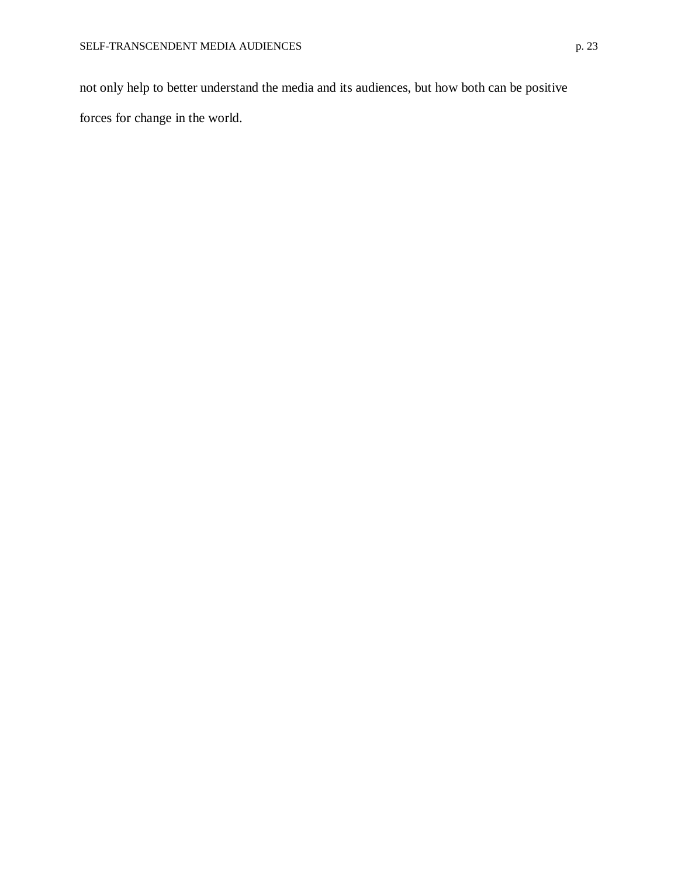not only help to better understand the media and its audiences, but how both can be positive forces for change in the world.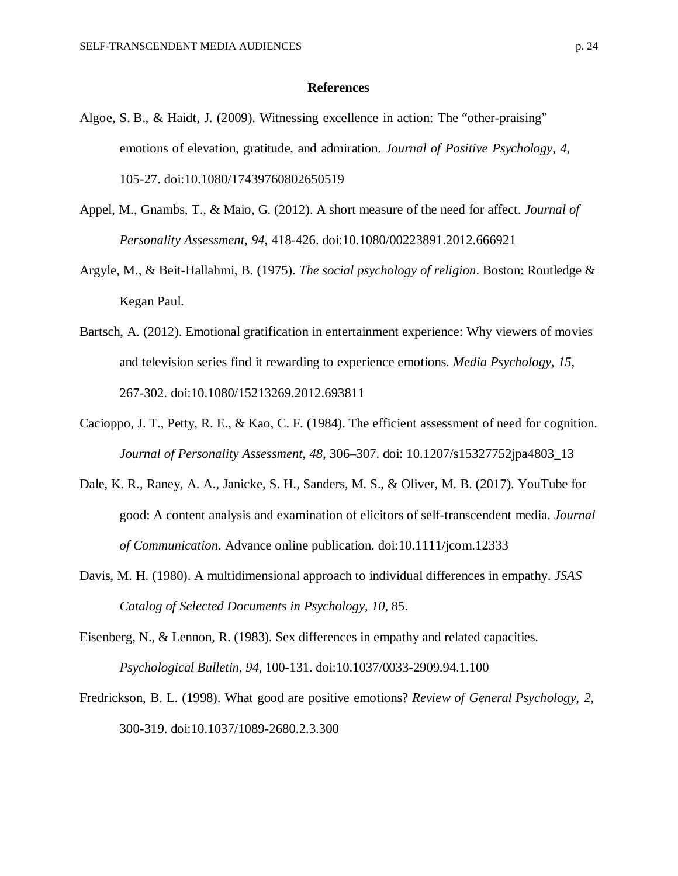#### **References**

- Algoe, S. B., & Haidt, J. (2009). Witnessing excellence in action: The "other-praising" emotions of elevation, gratitude, and admiration. *Journal of Positive Psychology*, *4*, 105-27. doi:10.1080/17439760802650519
- Appel, M., Gnambs, T., & Maio, G. (2012). A short measure of the need for affect. *Journal of Personality Assessment, 94*, 418-426. doi:10.1080/00223891.2012.666921
- Argyle, M., & Beit-Hallahmi, B. (1975). *The social psychology of religion*. Boston: Routledge & Kegan Paul.
- Bartsch, A. (2012). Emotional gratification in entertainment experience: Why viewers of movies and television series find it rewarding to experience emotions. *Media Psychology, 15*, 267-302. doi:10.1080/15213269.2012.693811
- Cacioppo, J. T., Petty, R. E., & Kao, C. F. (1984). The efficient assessment of need for cognition. *Journal of Personality Assessment*, *48*, 306–307. doi: 10.1207/s15327752jpa4803\_13
- Dale, K. R., Raney, A. A., Janicke, S. H., Sanders, M. S., & Oliver, M. B. (2017). YouTube for good: A content analysis and examination of elicitors of self-transcendent media. *Journal of Communication*. Advance online publication. doi:10.1111/jcom.12333
- Davis, M. H. (1980). A multidimensional approach to individual differences in empathy. *JSAS Catalog of Selected Documents in Psychology, 10*, 85.
- Eisenberg, N., & Lennon, R. (1983). Sex differences in empathy and related capacities. *Psychological Bulletin, 94*, 100-131. doi:10.1037/0033-2909.94.1.100
- Fredrickson, B. L. (1998). What good are positive emotions? *Review of General Psychology, 2,* 300-319. doi:10.1037/1089-2680.2.3.300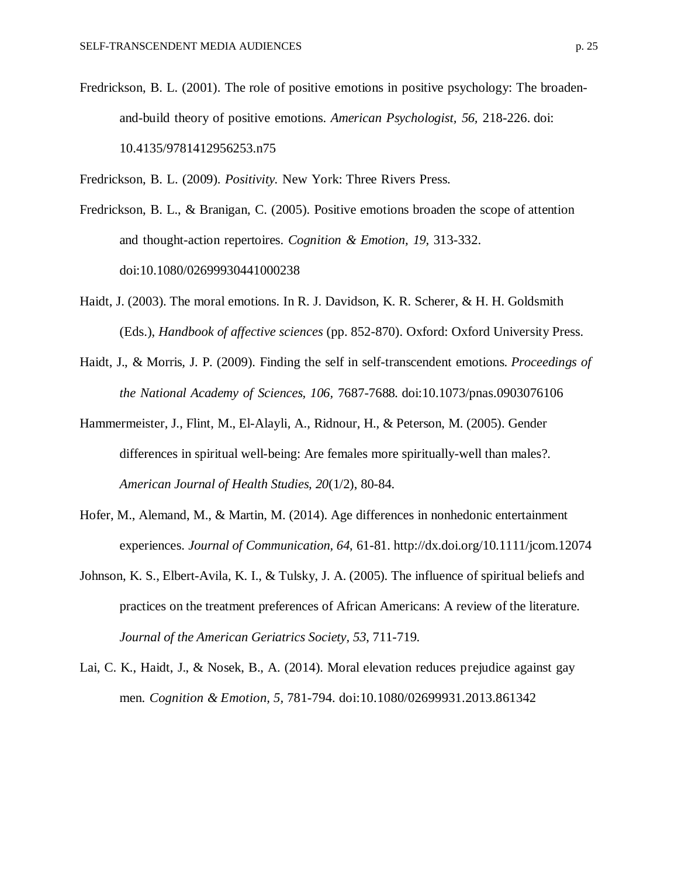- Fredrickson, B. L. (2001). The role of positive emotions in positive psychology: The broadenand-build theory of positive emotions. *American Psychologist, 56,* 218-226. doi: 10.4135/9781412956253.n75
- Fredrickson, B. L. (2009). *Positivity.* New York: Three Rivers Press.
- Fredrickson, B. L., & Branigan, C. (2005). Positive emotions broaden the scope of attention and thought-action repertoires. *Cognition & Emotion, 19,* 313-332. doi:10.1080/02699930441000238
- Haidt, J. (2003). The moral emotions. In R. J. Davidson, K. R. Scherer, & H. H. Goldsmith (Eds.), *Handbook of affective sciences* (pp. 852-870). Oxford: Oxford University Press.
- Haidt, J., & Morris, J. P. (2009). Finding the self in self-transcendent emotions. *Proceedings of the National Academy of Sciences, 106,* 7687-7688*.* doi:10.1073/pnas.0903076106
- Hammermeister, J., Flint, M., El-Alayli, A., Ridnour, H., & Peterson, M. (2005). Gender differences in spiritual well-being: Are females more spiritually-well than males?. *American Journal of Health Studies, 20*(1/2), 80-84.
- Hofer, M., Alemand, M., & Martin, M. (2014). Age differences in nonhedonic entertainment experiences. *Journal of Communication, 64*, 61-81. http://dx.doi.org/10.1111/jcom.12074
- Johnson, K. S., Elbert-Avila, K. I., & Tulsky, J. A. (2005). The influence of spiritual beliefs and practices on the treatment preferences of African Americans: A review of the literature. *Journal of the American Geriatrics Society, 53*, 711-719.
- Lai, C. K., Haidt, J., & Nosek, B., A. (2014). Moral elevation reduces prejudice against gay men. *Cognition & Emotion, 5,* 781-794. doi:10.1080/02699931.2013.861342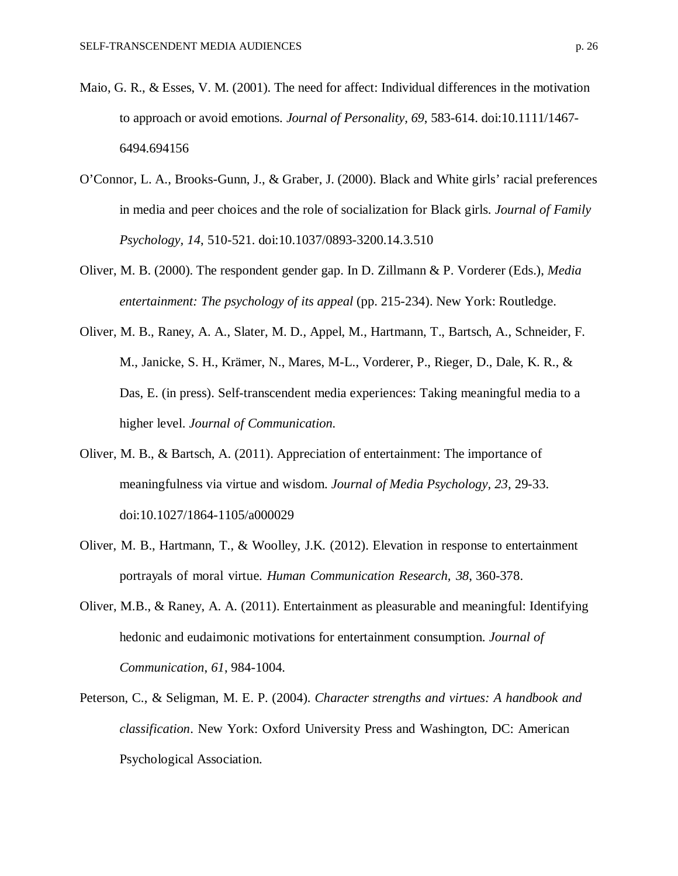- Maio, G. R., & Esses, V. M. (2001). The need for affect: Individual differences in the motivation to approach or avoid emotions. *Journal of Personality, 69*, 583-614. doi:10.1111/1467- 6494.694156
- O'Connor, L. A., Brooks-Gunn, J., & Graber, J. (2000). Black and White girls' racial preferences in media and peer choices and the role of socialization for Black girls. *Journal of Family Psychology, 14*, 510-521. doi:10.1037/0893-3200.14.3.510
- Oliver, M. B. (2000). The respondent gender gap. In D. Zillmann & P. Vorderer (Eds.), *Media entertainment: The psychology of its appeal* (pp. 215-234). New York: Routledge.
- Oliver, M. B., Raney, A. A., Slater, M. D., Appel, M., Hartmann, T., Bartsch, A., Schneider, F. M., Janicke, S. H., Krämer, N., Mares, M-L., Vorderer, P., Rieger, D., Dale, K. R., & Das, E. (in press). Self-transcendent media experiences: Taking meaningful media to a higher level. *Journal of Communication.*
- Oliver, M. B., & Bartsch, A. (2011). Appreciation of entertainment: The importance of meaningfulness via virtue and wisdom. *Journal of Media Psychology, 23*, 29-33. doi:10.1027/1864-1105/a000029
- Oliver, M. B., Hartmann, T., & Woolley, J.K. (2012). Elevation in response to entertainment portrayals of moral virtue. *Human Communication Research, 38*, 360-378.
- Oliver, M.B., & Raney, A. A. (2011). Entertainment as pleasurable and meaningful: Identifying hedonic and eudaimonic motivations for entertainment consumption. *Journal of Communication*, *61*, 984-1004.
- Peterson, C., & Seligman, M. E. P. (2004). *Character strengths and virtues: A handbook and classification*. New York: Oxford University Press and Washington, DC: American Psychological Association.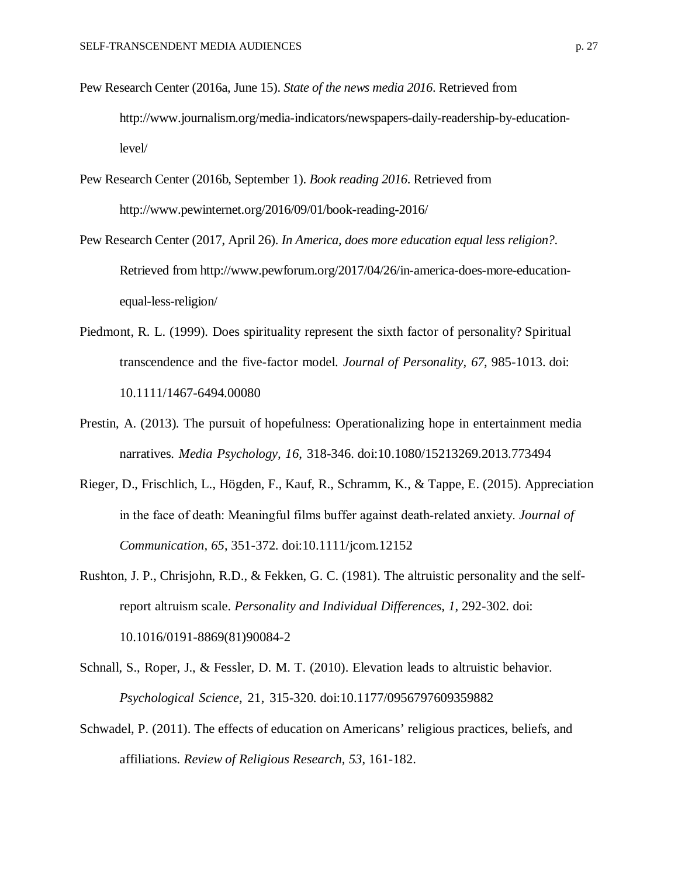- Pew Research Center (2016a, June 15). *State of the news media 2016*. Retrieved from http://www.journalism.org/media-indicators/newspapers-daily-readership-by-educationlevel/
- Pew Research Center (2016b, September 1). *Book reading 2016*. Retrieved from http://www.pewinternet.org/2016/09/01/book-reading-2016/
- Pew Research Center (2017, April 26). *In America, does more education equal less religion?*. Retrieved from http://www.pewforum.org/2017/04/26/in-america-does-more-educationequal-less-religion/
- Piedmont, R. L. (1999). Does spirituality represent the sixth factor of personality? Spiritual transcendence and the five-factor model. *Journal of Personality, 67*, 985-1013. doi: 10.1111/1467-6494.00080
- Prestin, A. (2013). The pursuit of hopefulness: Operationalizing hope in entertainment media narratives. *Media Psychology, 16*, 318-346. doi:10.1080/15213269.2013.773494
- Rieger, D., Frischlich, L., Högden, F., Kauf, R., Schramm, K., & Tappe, E. (2015). Appreciation in the face of death: Meaningful films buffer against death‐related anxiety. *Journal of Communication, 65*, 351-372. doi:10.1111/jcom.12152
- Rushton, J. P., Chrisjohn, R.D., & Fekken, G. C. (1981). The altruistic personality and the selfreport altruism scale. *Personality and Individual Differences, 1*, 292-302. doi: 10.1016/0191-8869(81)90084-2
- Schnall, S., Roper, J., & Fessler, D. M. T. (2010). Elevation leads to altruistic behavior. *Psychological Science*, 21, 315-320. doi:10.1177/0956797609359882
- Schwadel, P. (2011). The effects of education on Americans' religious practices, beliefs, and affiliations. *Review of Religious Research, 53*, 161-182.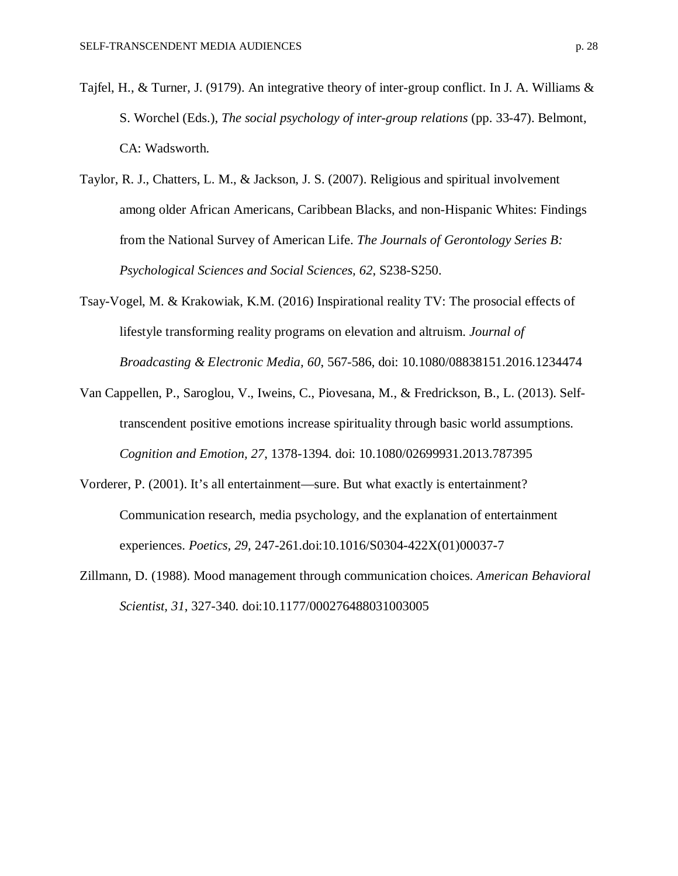- Tajfel, H., & Turner, J. (9179). An integrative theory of inter-group conflict. In J. A. Williams & S. Worchel (Eds.), *The social psychology of inter-group relations* (pp. 33-47). Belmont, CA: Wadsworth.
- Taylor, R. J., Chatters, L. M., & Jackson, J. S. (2007). Religious and spiritual involvement among older African Americans, Caribbean Blacks, and non-Hispanic Whites: Findings from the National Survey of American Life. *The Journals of Gerontology Series B: Psychological Sciences and Social Sciences, 62*, S238-S250.
- Tsay-Vogel, M. & Krakowiak, K.M. (2016) Inspirational reality TV: The prosocial effects of lifestyle transforming reality programs on elevation and altruism. *Journal of Broadcasting & Electronic Media, 60*, 567-586, doi: 10.1080/08838151.2016.1234474
- Van Cappellen, P., Saroglou, V., Iweins, C., Piovesana, M., & Fredrickson, B., L. (2013). Selftranscendent positive emotions increase spirituality through basic world assumptions. *Cognition and Emotion, 27*, 1378-1394. doi: 10.1080/02699931.2013.787395
- Vorderer, P. (2001). It's all entertainment—sure. But what exactly is entertainment? Communication research, media psychology, and the explanation of entertainment experiences. *Poetics, 29*, 247-261.doi:10.1016/S0304-422X(01)00037-7
- Zillmann, D. (1988). Mood management through communication choices. *American Behavioral Scientist, 31*, 327-340. doi:10.1177/000276488031003005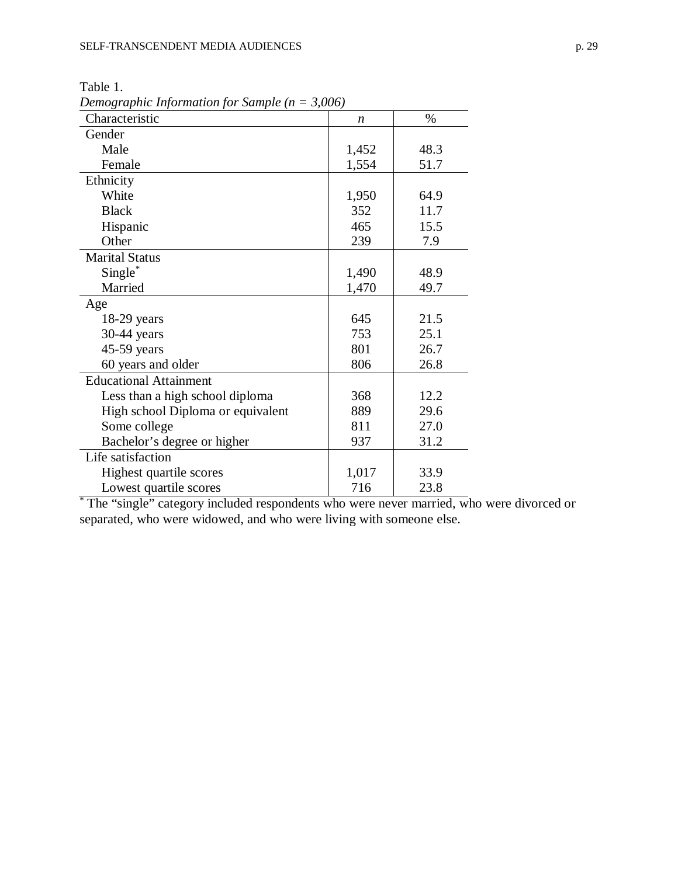| $\cdots$<br>Characteristic        | $\boldsymbol{n}$ | $\%$ |
|-----------------------------------|------------------|------|
| Gender                            |                  |      |
| Male                              | 1,452            | 48.3 |
| Female                            | 1,554            | 51.7 |
| Ethnicity                         |                  |      |
| White                             | 1,950            | 64.9 |
| <b>Black</b>                      | 352              | 11.7 |
| Hispanic                          | 465              | 15.5 |
| Other                             | 239              | 7.9  |
| <b>Marital Status</b>             |                  |      |
| $Single^*$                        | 1,490            | 48.9 |
| Married                           | 1,470            | 49.7 |
| Age                               |                  |      |
| $18-29$ years                     | 645              | 21.5 |
| 30-44 years                       | 753              | 25.1 |
| 45-59 years                       | 801              | 26.7 |
| 60 years and older                | 806              | 26.8 |
| <b>Educational Attainment</b>     |                  |      |
| Less than a high school diploma   | 368              | 12.2 |
| High school Diploma or equivalent | 889              | 29.6 |
| Some college                      | 811              | 27.0 |
| Bachelor's degree or higher       | 937              | 31.2 |
| Life satisfaction                 |                  |      |
| Highest quartile scores           | 1,017            | 33.9 |
| Lowest quartile scores            | 716              | 23.8 |

Table 1. *Demographic Information for Sample (n = 3,006)*

\* The "single" category included respondents who were never married, who were divorced or separated, who were widowed, and who were living with someone else.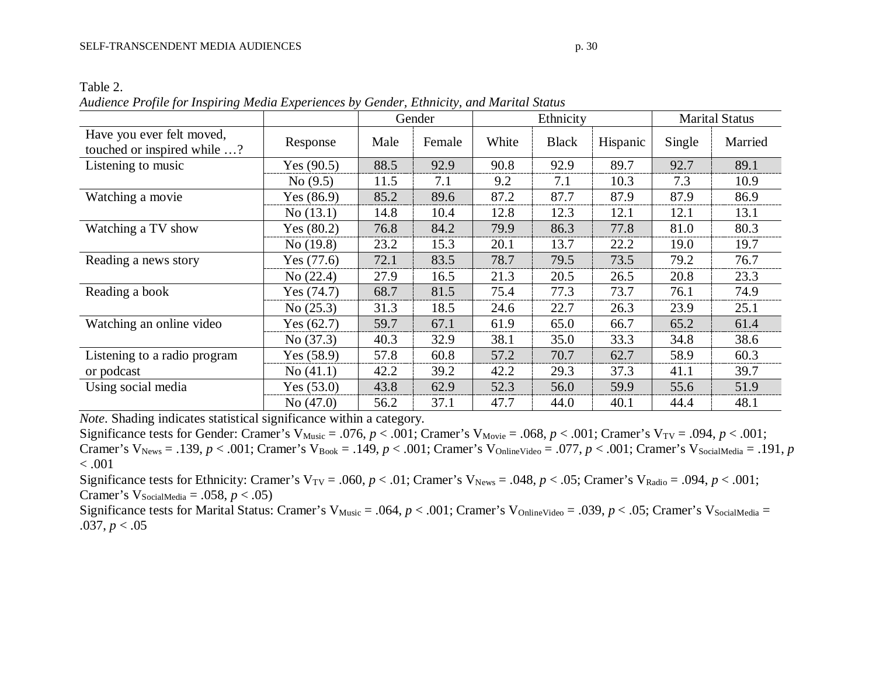|                                                          |              | Gender |        |       | Ethnicity    | <b>Marital Status</b> |        |         |
|----------------------------------------------------------|--------------|--------|--------|-------|--------------|-----------------------|--------|---------|
| Have you ever felt moved,<br>touched or inspired while ? | Response     | Male   | Female | White | <b>Black</b> | Hispanic              | Single | Married |
| Listening to music                                       | Yes $(90.5)$ | 88.5   | 92.9   | 90.8  | 92.9         | 89.7                  | 92.7   | 89.1    |
|                                                          | No(9.5)      | 11.5   | 7.1    | 9.2   | 7.1          | 10.3                  | 7.3    | 10.9    |
| Watching a movie                                         | Yes $(86.9)$ | 85.2   | 89.6   | 87.2  | 87.7         | 87.9                  | 87.9   | 86.9    |
|                                                          | No(13.1)     | 14.8   | 10.4   | 12.8  | 12.3         | 12.1                  | 12.1   | 13.1    |
| Watching a TV show                                       | Yes $(80.2)$ | 76.8   | 84.2   | 79.9  | 86.3         | 77.8                  | 81.0   | 80.3    |
|                                                          | No(19.8)     | 23.2   | 15.3   | 20.1  | 13.7         | 22.2                  | 19.0   | 19.7    |
| Reading a news story                                     | Yes $(77.6)$ | 72.1   | 83.5   | 78.7  | 79.5         | 73.5                  | 79.2   | 76.7    |
|                                                          | No $(22.4)$  | 27.9   | 16.5   | 21.3  | 20.5         | 26.5                  | 20.8   | 23.3    |
| Reading a book                                           | Yes $(74.7)$ | 68.7   | 81.5   | 75.4  | 77.3         | 73.7                  | 76.1   | 74.9    |
|                                                          | No (25.3)    | 31.3   | 18.5   | 24.6  | 22.7         | 26.3                  | 23.9   | 25.1    |
| Watching an online video                                 | Yes $(62.7)$ | 59.7   | 67.1   | 61.9  | 65.0         | 66.7                  | 65.2   | 61.4    |
|                                                          | No $(37.3)$  | 40.3   | 32.9   | 38.1  | 35.0         | 33.3                  | 34.8   | 38.6    |
| Listening to a radio program                             | Yes $(58.9)$ | 57.8   | 60.8   | 57.2  | 70.7         | 62.7                  | 58.9   | 60.3    |
| or podcast                                               | No(41.1)     | 42.2   | 39.2   | 42.2  | 29.3         | 37.3                  | 41.1   | 39.7    |
| Using social media                                       | Yes $(53.0)$ | 43.8   | 62.9   | 52.3  | 56.0         | 59.9                  | 55.6   | 51.9    |
|                                                          | No $(47.0)$  | 56.2   | 37.1   | 47.7  | 44.0         | 40.1                  | 44.4   | 48.1    |

Table 2.

*Audience Profile for Inspiring Media Experiences by Gender, Ethnicity, and Marital Status*

*Note*. Shading indicates statistical significance within a category.

Significance tests for Gender: Cramer's V<sub>Music</sub> = .076,  $p < .001$ ; Cramer's V<sub>Movie</sub> = .068,  $p < .001$ ; Cramer's V<sub>TV</sub> = .094,  $p < .001$ ; Cramer's V<sub>News</sub> = .139,  $p < .001$ ; Cramer's V<sub>Book</sub> = .149,  $p < .001$ ; Cramer's V<sub>OnlineVideo</sub> = .077,  $p < .001$ ; Cramer's V<sub>SocialMedia</sub> = .191, *p*  $< .001$ 

Significance tests for Ethnicity: Cramer's  $V_{TV} = .060$ ,  $p < .01$ ; Cramer's  $V_{News} = .048$ ,  $p < .05$ ; Cramer's  $V_{Radio} = .094$ ,  $p < .001$ ; Cramer's  $V_{SocialMedia} = .058, p < .05$ 

Significance tests for Marital Status: Cramer's V<sub>Music</sub> = .064,  $p < .001$ ; Cramer's V<sub>OnlineVideo</sub> = .039,  $p < .05$ ; Cramer's V<sub>SocialMedia</sub> = .037,  $p < .05$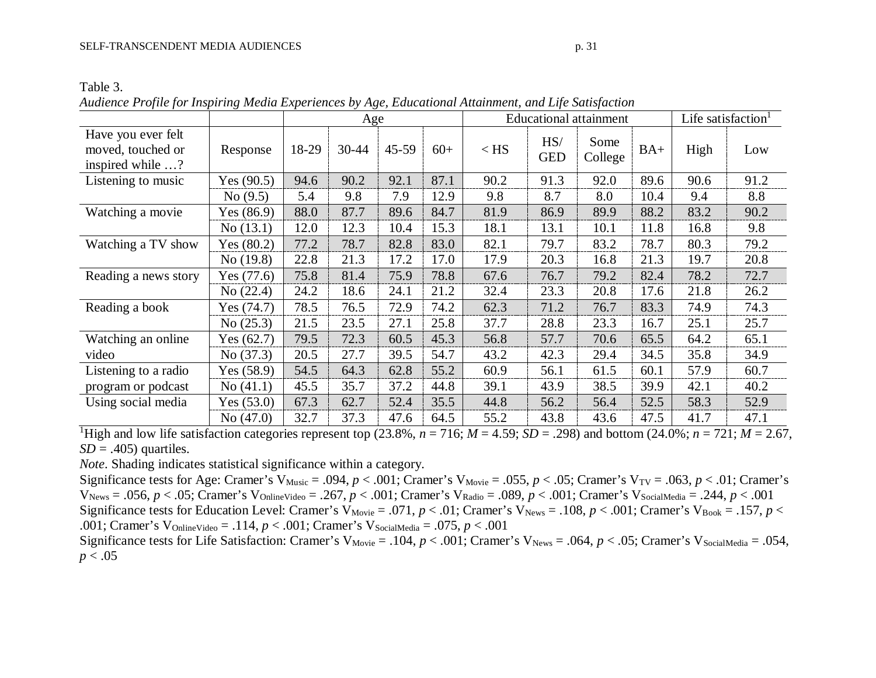*Audience Profile for Inspiring Media Experiences by Age, Educational Attainment, and Life Satisfaction*

|                                                             |              | Age   |           |           |       | <b>Educational attainment</b> |                   |                 |       | Life satisfaction <sup>1</sup> |      |
|-------------------------------------------------------------|--------------|-------|-----------|-----------|-------|-------------------------------|-------------------|-----------------|-------|--------------------------------|------|
| Have you ever felt<br>moved, touched or<br>inspired while ? | Response     | 18-29 | $30 - 44$ | $45 - 59$ | $60+$ | $<$ HS                        | HS/<br><b>GED</b> | Some<br>College | $BA+$ | High                           | Low  |
| Listening to music                                          | Yes $(90.5)$ | 94.6  | 90.2      | 92.1      | 87.1  | 90.2                          | 91.3              | 92.0            | 89.6  | 90.6                           | 91.2 |
|                                                             | No(9.5)      | 5.4   | 9.8       | 7.9       | 12.9  | 9.8                           | 8.7               | 8.0             | 10.4  | 9.4                            | 8.8  |
| Watching a movie                                            | Yes $(86.9)$ | 88.0  | 87.7      | 89.6      | 84.7  | 81.9                          | 86.9              | 89.9            | 88.2  | 83.2                           | 90.2 |
|                                                             | No(13.1)     | 12.0  | 12.3      | 10.4      | 15.3  | 18.1                          | 13.1              | 10.1            | 11.8  | 16.8                           | 9.8  |
| Watching a TV show                                          | Yes $(80.2)$ | 77.2  | 78.7      | 82.8      | 83.0  | 82.1                          | 79.7              | 83.2            | 78.7  | 80.3                           | 79.2 |
|                                                             | No $(19.8)$  | 22.8  | 21.3      | 17.2      | 17.0  | 17.9                          | 20.3              | 16.8            | 21.3  | 19.7                           | 20.8 |
| Reading a news story                                        | Yes $(77.6)$ | 75.8  | 81.4      | 75.9      | 78.8  | 67.6                          | 76.7              | 79.2            | 82.4  | 78.2                           | 72.7 |
|                                                             | No (22.4)    | 24.2  | 18.6      | 24.1      | 21.2  | 32.4                          | 23.3              | 20.8            | 17.6  | 21.8                           | 26.2 |
| Reading a book                                              | Yes $(74.7)$ | 78.5  | 76.5      | 72.9      | 74.2  | 62.3                          | 71.2              | 76.7            | 83.3  | 74.9                           | 74.3 |
|                                                             | No $(25.3)$  | 21.5  | 23.5      | 27.1      | 25.8  | 37.7                          | 28.8              | 23.3            | 16.7  | 25.1                           | 25.7 |
| Watching an online                                          | Yes $(62.7)$ | 79.5  | 72.3      | 60.5      | 45.3  | 56.8                          | 57.7              | 70.6            | 65.5  | 64.2                           | 65.1 |
| video                                                       | No $(37.3)$  | 20.5  | 27.7      | 39.5      | 54.7  | 43.2                          | 42.3              | 29.4            | 34.5  | 35.8                           | 34.9 |
| Listening to a radio                                        | Yes $(58.9)$ | 54.5  | 64.3      | 62.8      | 55.2  | 60.9                          | 56.1              | 61.5            | 60.1  | 57.9                           | 60.7 |
| program or podcast                                          | No(41.1)     | 45.5  | 35.7      | 37.2      | 44.8  | 39.1                          | 43.9              | 38.5            | 39.9  | 42.1                           | 40.2 |
| Using social media                                          | Yes $(53.0)$ | 67.3  | 62.7      | 52.4      | 35.5  | 44.8                          | 56.2              | 56.4            | 52.5  | 58.3                           | 52.9 |
|                                                             | No $(47.0)$  | 32.7  | 37.3      | 47.6      | 64.5  | 55.2                          | 43.8              | 43.6            | 47.5  | 41.7                           | 47.1 |

<sup>1</sup>High and low life satisfaction categories represent top (23.8%,  $n = 716$ ;  $M = 4.59$ ;  $SD = .298$ ) and bottom (24.0%;  $n = 721$ ;  $M = 2.67$ , *SD* = .405) quartiles.

*Note*. Shading indicates statistical significance within a category.

Significance tests for Age: Cramer's V<sub>Music</sub> = .094,  $p < .001$ ; Cramer's V<sub>Movie</sub> = .055,  $p < .05$ ; Cramer's V<sub>TV</sub> = .063,  $p < .01$ ; Cramer's VNews = .056, *p* < .05; Cramer's VOnlineVideo = .267, *p* < .001; Cramer's VRadio = .089, *p* < .001; Cramer's VSocialMedia = .244, *p* < .001 Significance tests for Education Level: Cramer's V<sub>Movie</sub> = .071,  $p < .01$ ; Cramer's V<sub>News</sub> = .108,  $p < .001$ ; Cramer's V<sub>Book</sub> = .157,  $p <$ .001; Cramer's V<sub>OnlineVideo</sub> = .114,  $p < .001$ ; Cramer's V<sub>SocialMedia</sub> = .075,  $p < .001$ 

Significance tests for Life Satisfaction: Cramer's V<sub>Movie</sub> = .104,  $p < .001$ ; Cramer's V<sub>News</sub> = .064,  $p < .05$ ; Cramer's V<sub>SocialMedia</sub> = .054,  $p < .05$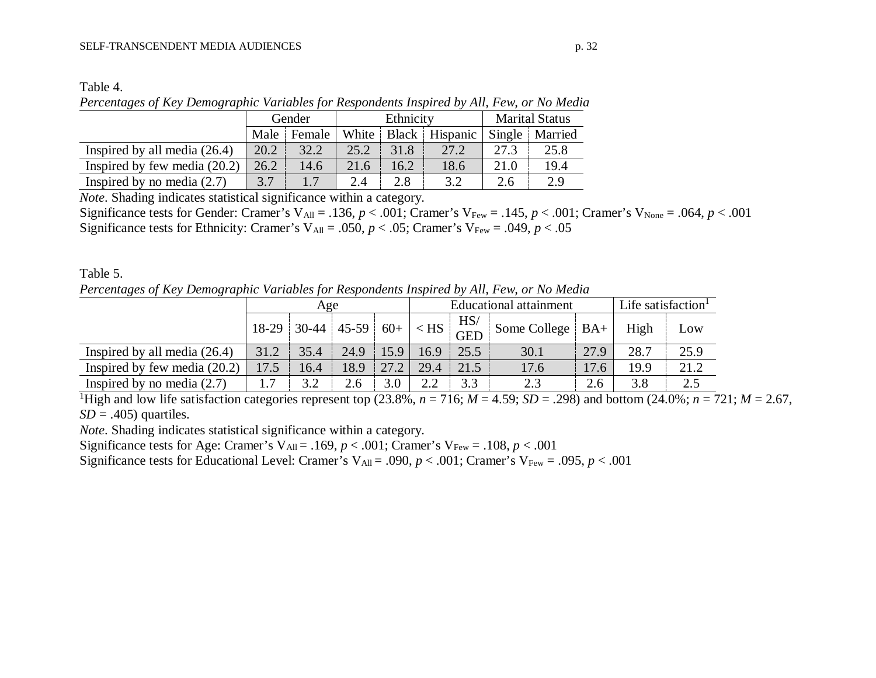| able |  |
|------|--|
|------|--|

*Percentages of Key Demographic Variables for Respondents Inspired by All, Few, or No Media*

|                                | Gender |        |       | Ethnicity | <b>Marital Status</b> |      |                  |
|--------------------------------|--------|--------|-------|-----------|-----------------------|------|------------------|
|                                | Male   | Female | White |           | Black Hispanic        |      | Single   Married |
| Inspired by all media $(26.4)$ | 20.2   | 32.2   | 25.2  | 31.8      | 27.2                  | 27 3 | 25.8             |
| Inspired by few media $(20.2)$ | 26.2   | 14.6   | 21.6  | 16.2      | 18.6                  | 21.0 | 19.4             |
| Inspired by no media $(2.7)$   | 3.7    |        | 2.4   | 2.8       | 32                    | 2.6  | 29               |

*Note*. Shading indicates statistical significance within a category.

Significance tests for Gender: Cramer's V<sub>All</sub> = .136,  $p < .001$ ; Cramer's V<sub>Few</sub> = .145,  $p < .001$ ; Cramer's V<sub>None</sub> = .064,  $p < .001$ Significance tests for Ethnicity: Cramer's V<sub>All</sub> = .050,  $p < .05$ ; Cramer's V<sub>Few</sub> = .049,  $p < .05$ 

Table 5. *Percentages of Key Demographic Variables for Respondents Inspired by All, Few, or No Media*

|                                | Age   |         |         |       | <b>Educational attainment</b> |                   |                     |      | Life satisfaction <sup>1</sup> |      |
|--------------------------------|-------|---------|---------|-------|-------------------------------|-------------------|---------------------|------|--------------------------------|------|
|                                | 18-29 | $30-44$ | $45-59$ | $60+$ | $\langle$ HS                  | HS/<br><b>GED</b> | Some College $ BA+$ |      | High                           | Low  |
| Inspired by all media $(26.4)$ | 31.2  | 35.4    | 24.9    | 15.9  | 16.9                          | 25.5              | 30.1                | 27.9 | 28.7                           | 25.9 |
| Inspired by few media $(20.2)$ | 17.5  | 16.4    | 18.9    | 27.2  | 29.4                          | 21.5              | 17.6                | 17.6 | 19.9                           | 21.2 |
| Inspired by no media $(2.7)$   |       | 3.2     | 2.6     | 3.0   | 2.2                           | 3.3               | 2.3                 | 2.6  | 3.8                            | 2.5  |

<sup>1</sup>High and low life satisfaction categories represent top (23.8%,  $n = 716$ ;  $M = 4.59$ ;  $SD = .298$ ) and bottom (24.0%;  $n = 721$ ;  $M = 2.67$ ,  $SD = .405$ ) quartiles.

*Note*. Shading indicates statistical significance within a category.

Significance tests for Age: Cramer's V<sub>All</sub> = .169,  $p < .001$ ; Cramer's V<sub>Few</sub> = .108,  $p < .001$ 

Significance tests for Educational Level: Cramer's  $V_{All} = .090$ ,  $p < .001$ ; Cramer's  $V_{Few} = .095$ ,  $p < .001$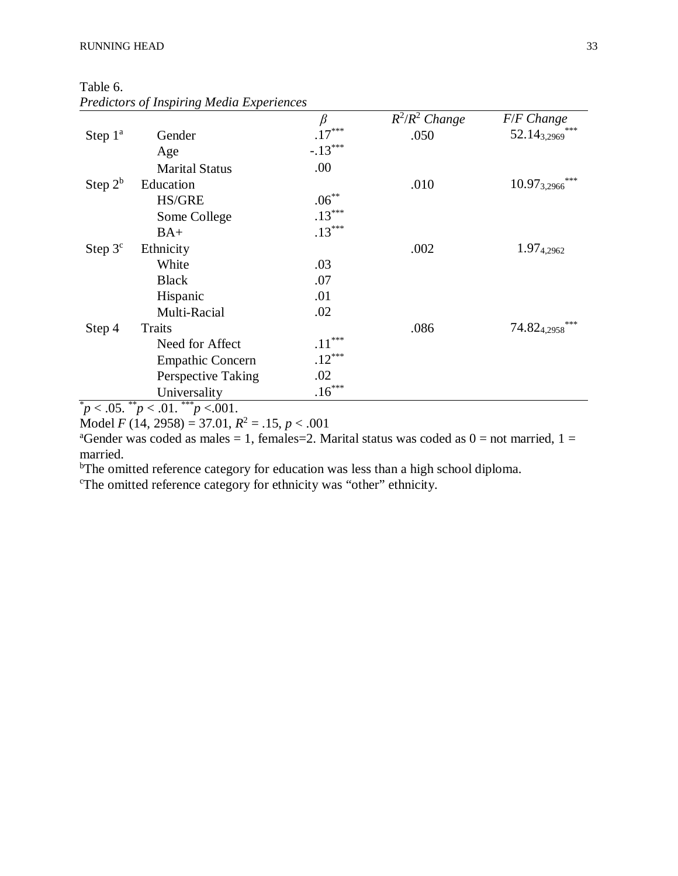Table 6.

|            | r realelors of moon ling meana Experiences | $\beta$   | $R^2/R^2$ Change | F/F Change                  |
|------------|--------------------------------------------|-----------|------------------|-----------------------------|
| Step $1^a$ | Gender                                     | $.17***$  | .050             | $52.14_{3,2969}$            |
|            | Age                                        | $-.13***$ |                  |                             |
|            | <b>Marital Status</b>                      | .00       |                  |                             |
| Step $2^b$ | Education                                  |           | .010             | $* * *$<br>$10.97_{3,2966}$ |
|            | <b>HS/GRE</b>                              | $.06***$  |                  |                             |
|            | Some College                               | $.13***$  |                  |                             |
|            | $BA+$                                      | $.13***$  |                  |                             |
| Step $3c$  | Ethnicity                                  |           | .002             | 1.97 <sub>4,2962</sub>      |
|            | White                                      | .03       |                  |                             |
|            | <b>Black</b>                               | .07       |                  |                             |
|            | Hispanic                                   | .01       |                  |                             |
|            | Multi-Racial                               | .02       |                  |                             |
| Step 4     | <b>Traits</b>                              |           | .086             | ***<br>74.824.2958          |
|            | Need for Affect                            | $.11***$  |                  |                             |
|            | <b>Empathic Concern</b>                    | $.12***$  |                  |                             |
|            | Perspective Taking                         | .02       |                  |                             |
| sk.        | Universality<br>**<br>ske ske ske          | $.16***$  |                  |                             |

| <b>Predictors of Inspiring Media Experiences</b> |  |  |  |
|--------------------------------------------------|--|--|--|
|                                                  |  |  |  |

 $p^* p < .05.$  \*\* $p < .01.$  \*\*\* $p < .001.$ 

Model *F* (14, 2958) = 37.01,  $R^2 = .15$ ,  $p < .001$ 

<sup>a</sup>Gender was coded as males = 1, females = 2. Marital status was coded as  $0 =$  not married,  $1 =$ married.

<sup>b</sup>The omitted reference category for education was less than a high school diploma.

c The omitted reference category for ethnicity was "other" ethnicity.